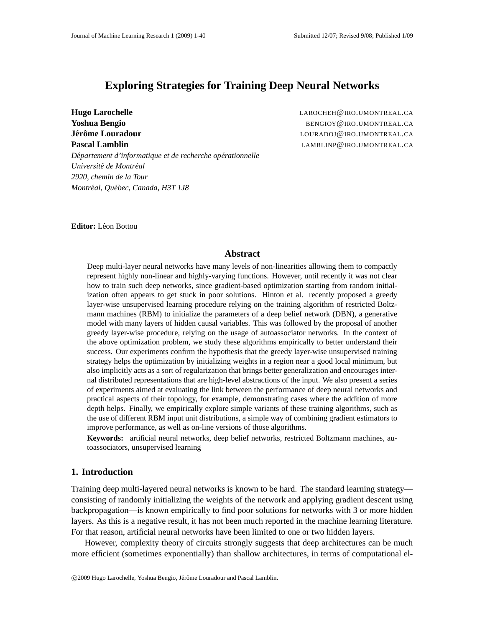# **Exploring Strategies for Training Deep Neural Networks**

*Departement ´ d'informatique et de recherche oper´ ationnelle Universite´ de Montreal ´ 2920, chemin de la Tour Montreal, ´ Quebec, ´ Canada, H3T 1J8*

**Hugo Larochelle LAROCHEH@IRO.UMONTREAL.CA Yoshua Bengio** BENGIOY@IRO.UMONTREAL.CA **Jer´ ome ˆ Louradour** LOURADOJ@IRO.UMONTREAL.CA **Pascal Lamblin** LAMBLINP@IRO.UMONTREAL.CA

**Editor:** Léon Bottou

### **Abstract**

Deep multi-layer neural networks have many levels of non-linearities allowing them to compactly represent highly non-linear and highly-varying functions. However, until recently it was not clear how to train such deep networks, since gradient-based optimization starting from random initialization often appears to get stuck in poor solutions. Hinton et al. recently proposed a greedy layer-wise unsupervised learning procedure relying on the training algorithm of restricted Boltzmann machines (RBM) to initialize the parameters of a deep belief network (DBN), a generative model with many layers of hidden causal variables. This was followed by the proposal of another greedy layer-wise procedure, relying on the usage of autoassociator networks. In the context of the above optimization problem, we study these algorithms empirically to better understand their success. Our experiments confirm the hypothesis that the greedy layer-wise unsupervised training strategy helps the optimization by initializing weights in a region near a good local minimum, but also implicitly acts as a sort of regularization that brings better generalization and encourages internal distributed representations that are high-level abstractions of the input. We also present a series of experiments aimed at evaluating the link between the performance of deep neural networks and practical aspects of their topology, for example, demonstrating cases where the addition of more depth helps. Finally, we empirically explore simple variants of these training algorithms, such as the use of different RBM input unit distributions, a simple way of combining gradient estimators to improve performance, as well as on-line versions of those algorithms.

**Keywords:** artificial neural networks, deep belief networks, restricted Boltzmann machines, autoassociators, unsupervised learning

## **1. Introduction**

Training deep multi-layered neural networks is known to be hard. The standard learning strategy consisting of randomly initializing the weights of the network and applying gradient descent using backpropagation—is known empirically to find poor solutions for networks with 3 or more hidden layers. As this is a negative result, it has not been much reported in the machine learning literature. For that reason, artificial neural networks have been limited to one or two hidden layers.

However, complexity theory of circuits strongly suggests that deep architectures can be much more efficient (sometimes exponentially) than shallow architectures, in terms of computational el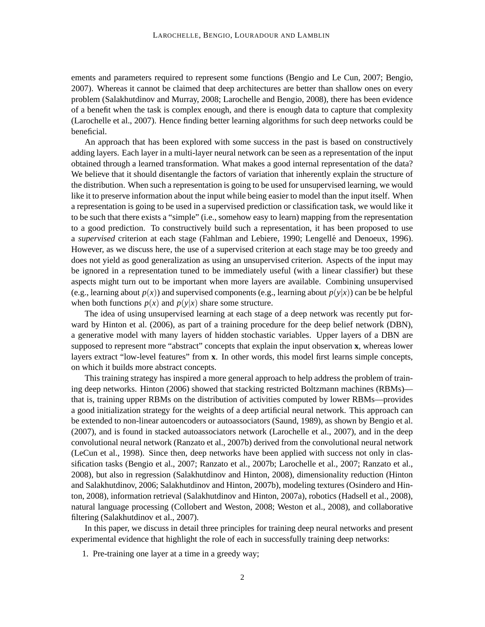ements and parameters required to represent some functions (Bengio and Le Cun, 2007; Bengio, 2007). Whereas it cannot be claimed that deep architectures are better than shallow ones on every problem (Salakhutdinov and Murray, 2008; Larochelle and Bengio, 2008), there has been evidence of a benefit when the task is complex enough, and there is enough data to capture that complexity (Larochelle et al., 2007). Hence finding better learning algorithms for such deep networks could be beneficial.

An approach that has been explored with some success in the past is based on constructively adding layers. Each layer in a multi-layer neural network can be seen as a representation of the input obtained through a learned transformation. What makes a good internal representation of the data? We believe that it should disentangle the factors of variation that inherently explain the structure of the distribution. When such a representation is going to be used for unsupervised learning, we would like it to preserve information about the input while being easier to model than the input itself. When a representation is going to be used in a supervised prediction or classification task, we would like it to be such that there exists a "simple" (i.e., somehow easy to learn) mapping from the representation to a good prediction. To constructively build such a representation, it has been proposed to use a *supervised* criterion at each stage (Fahlman and Lebiere, 1990; Lengellé and Denoeux, 1996). However, as we discuss here, the use of a supervised criterion at each stage may be too greedy and does not yield as good generalization as using an unsupervised criterion. Aspects of the input may be ignored in a representation tuned to be immediately useful (with a linear classifier) but these aspects might turn out to be important when more layers are available. Combining unsupervised (e.g., learning about  $p(x)$ ) and supervised components (e.g., learning about  $p(y|x)$ ) can be be helpful when both functions  $p(x)$  and  $p(y|x)$  share some structure.

The idea of using unsupervised learning at each stage of a deep network was recently put forward by Hinton et al. (2006), as part of a training procedure for the deep belief network (DBN), a generative model with many layers of hidden stochastic variables. Upper layers of a DBN are supposed to represent more "abstract" concepts that explain the input observation **x**, whereas lower layers extract "low-level features" from **x**. In other words, this model first learns simple concepts, on which it builds more abstract concepts.

This training strategy has inspired a more general approach to help address the problem of training deep networks. Hinton (2006) showed that stacking restricted Boltzmann machines (RBMs) that is, training upper RBMs on the distribution of activities computed by lower RBMs—provides a good initialization strategy for the weights of a deep artificial neural network. This approach can be extended to non-linear autoencoders or autoassociators (Saund, 1989), as shown by Bengio et al. (2007), and is found in stacked autoassociators network (Larochelle et al., 2007), and in the deep convolutional neural network (Ranzato et al., 2007b) derived from the convolutional neural network (LeCun et al., 1998). Since then, deep networks have been applied with success not only in classification tasks (Bengio et al., 2007; Ranzato et al., 2007b; Larochelle et al., 2007; Ranzato et al., 2008), but also in regression (Salakhutdinov and Hinton, 2008), dimensionality reduction (Hinton and Salakhutdinov, 2006; Salakhutdinov and Hinton, 2007b), modeling textures (Osindero and Hinton, 2008), information retrieval (Salakhutdinov and Hinton, 2007a), robotics (Hadsell et al., 2008), natural language processing (Collobert and Weston, 2008; Weston et al., 2008), and collaborative filtering (Salakhutdinov et al., 2007).

In this paper, we discuss in detail three principles for training deep neural networks and present experimental evidence that highlight the role of each in successfully training deep networks:

1. Pre-training one layer at a time in a greedy way;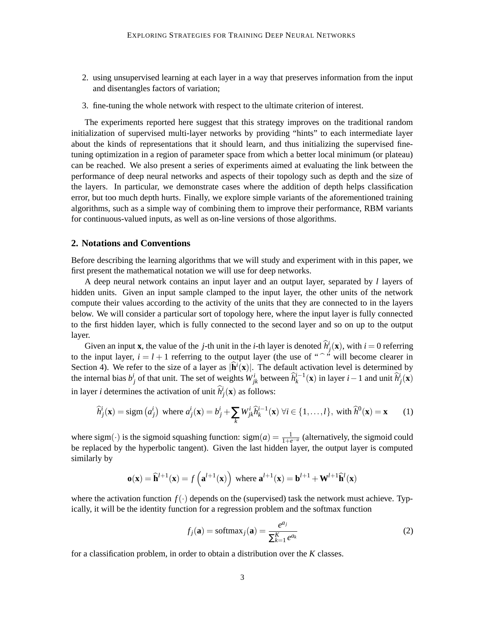- 2. using unsupervised learning at each layer in a way that preserves information from the input and disentangles factors of variation;
- 3. fine-tuning the whole network with respect to the ultimate criterion of interest.

The experiments reported here suggest that this strategy improves on the traditional random initialization of supervised multi-layer networks by providing "hints" to each intermediate layer about the kinds of representations that it should learn, and thus initializing the supervised finetuning optimization in a region of parameter space from which a better local minimum (or plateau) can be reached. We also present a series of experiments aimed at evaluating the link between the performance of deep neural networks and aspects of their topology such as depth and the size of the layers. In particular, we demonstrate cases where the addition of depth helps classification error, but too much depth hurts. Finally, we explore simple variants of the aforementioned training algorithms, such as a simple way of combining them to improve their performance, RBM variants for continuous-valued inputs, as well as on-line versions of those algorithms.

## **2. Notations and Conventions**

Before describing the learning algorithms that we will study and experiment with in this paper, we first present the mathematical notation we will use for deep networks.

A deep neural network contains an input layer and an output layer, separated by *l* layers of hidden units. Given an input sample clamped to the input layer, the other units of the network compute their values according to the activity of the units that they are connected to in the layers below. We will consider a particular sort of topology here, where the input layer is fully connected to the first hidden layer, which is fully connected to the second layer and so on up to the output layer.

Given an input **x**, the value of the *j*-th unit in the *i*-th layer is denoted  $\hat{h}^i_j(\mathbf{x})$ , with  $i = 0$  referring to the input layer,  $i = l + 1$  referring to the output layer (the use of "<sup>o</sup>" will become clearer in Section 4). We refer to the size of a layer as  $|\hat{\mathbf{h}}^i(\mathbf{x})|$ . The default activation level is determined by the internal bias  $b_j^i$  of that unit. The set of weights  $W_{jk}^i$  between  $\hat{h}_k^{i-1}(\mathbf{x})$  in layer  $i-1$  and unit  $\hat{h}_j^i(\mathbf{x})$ in layer *i* determines the activation of unit  $\hat{h}^i_j(\mathbf{x})$  as follows:

$$
\widehat{h}_j^i(\mathbf{x}) = \text{sign}(a_j^i) \text{ where } a_j^i(\mathbf{x}) = b_j^i + \sum_k W_{jk}^i \widehat{h}_k^{i-1}(\mathbf{x}) \ \forall i \in \{1, ..., l\}, \text{ with } \widehat{h}^0(\mathbf{x}) = \mathbf{x} \tag{1}
$$

where sigm( $\cdot$ ) is the sigmoid squashing function: sigm(*a*) =  $\frac{1}{1+e^{-a}}$  (alternatively, the sigmoid could be replaced by the hyperbolic tangent). Given the last hidden layer, the output layer is computed similarly by

$$
\mathbf{o}(\mathbf{x}) = \hat{\mathbf{h}}^{l+1}(\mathbf{x}) = f\left(\mathbf{a}^{l+1}(\mathbf{x})\right) \text{ where } \mathbf{a}^{l+1}(\mathbf{x}) = \mathbf{b}^{l+1} + \mathbf{W}^{l+1} \hat{\mathbf{h}}^{l}(\mathbf{x})
$$

where the activation function  $f(.)$  depends on the (supervised) task the network must achieve. Typically, it will be the identity function for a regression problem and the softmax function

$$
f_j(\mathbf{a}) = \text{softmax}_j(\mathbf{a}) = \frac{e^{a_j}}{\sum_{k=1}^{K} e^{a_k}}
$$
 (2)

for a classification problem, in order to obtain a distribution over the *K* classes.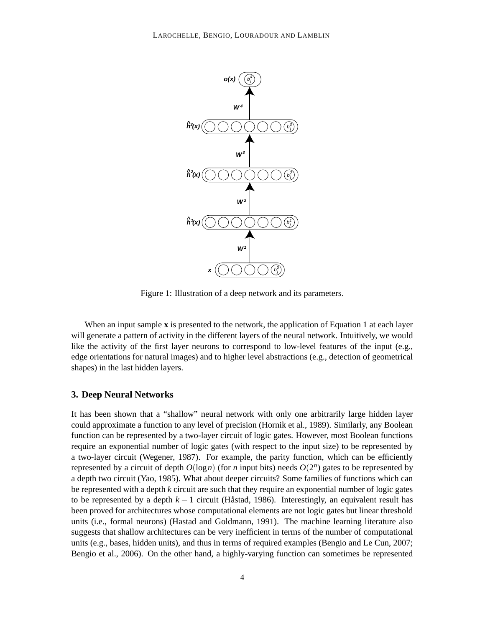

Figure 1: Illustration of a deep network and its parameters.

When an input sample **x** is presented to the network, the application of Equation 1 at each layer will generate a pattern of activity in the different layers of the neural network. Intuitively, we would like the activity of the first layer neurons to correspond to low-level features of the input (e.g., edge orientations for natural images) and to higher level abstractions (e.g., detection of geometrical shapes) in the last hidden layers.

### **3. Deep Neural Networks**

It has been shown that a "shallow" neural network with only one arbitrarily large hidden layer could approximate a function to any level of precision (Hornik et al., 1989). Similarly, any Boolean function can be represented by a two-layer circuit of logic gates. However, most Boolean functions require an exponential number of logic gates (with respect to the input size) to be represented by a two-layer circuit (Wegener, 1987). For example, the parity function, which can be efficiently represented by a circuit of depth  $O(\log n)$  (for *n* input bits) needs  $O(2^n)$  gates to be represented by a depth two circuit (Yao, 1985). What about deeper circuits? Some families of functions which can be represented with a depth *k* circuit are such that they require an exponential number of logic gates to be represented by a depth  $k - 1$  circuit (Håstad, 1986). Interestingly, an equivalent result has been proved for architectures whose computational elements are not logic gates but linear threshold units (i.e., formal neurons) (Hastad and Goldmann, 1991). The machine learning literature also suggests that shallow architectures can be very inefficient in terms of the number of computational units (e.g., bases, hidden units), and thus in terms of required examples (Bengio and Le Cun, 2007; Bengio et al., 2006). On the other hand, a highly-varying function can sometimes be represented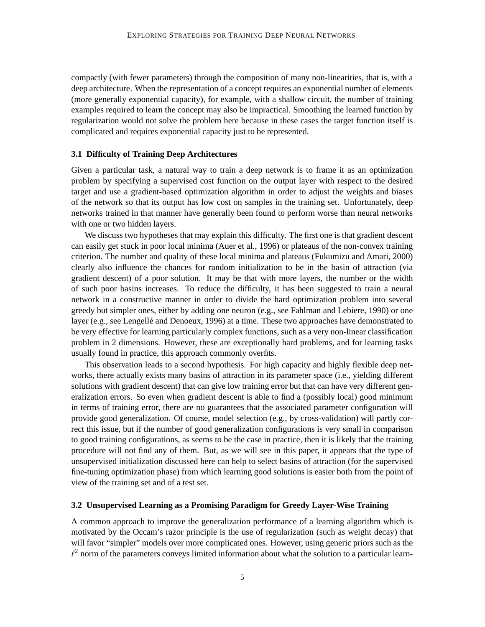compactly (with fewer parameters) through the composition of many non-linearities, that is, with a deep architecture. When the representation of a concept requires an exponential number of elements (more generally exponential capacity), for example, with a shallow circuit, the number of training examples required to learn the concept may also be impractical. Smoothing the learned function by regularization would not solve the problem here because in these cases the target function itself is complicated and requires exponential capacity just to be represented.

#### **3.1 Difficulty of Training Deep Architectures**

Given a particular task, a natural way to train a deep network is to frame it as an optimization problem by specifying a supervised cost function on the output layer with respect to the desired target and use a gradient-based optimization algorithm in order to adjust the weights and biases of the network so that its output has low cost on samples in the training set. Unfortunately, deep networks trained in that manner have generally been found to perform worse than neural networks with one or two hidden layers.

We discuss two hypotheses that may explain this difficulty. The first one is that gradient descent can easily get stuck in poor local minima (Auer et al., 1996) or plateaus of the non-convex training criterion. The number and quality of these local minima and plateaus (Fukumizu and Amari, 2000) clearly also influence the chances for random initialization to be in the basin of attraction (via gradient descent) of a poor solution. It may be that with more layers, the number or the width of such poor basins increases. To reduce the difficulty, it has been suggested to train a neural network in a constructive manner in order to divide the hard optimization problem into several greedy but simpler ones, either by adding one neuron (e.g., see Fahlman and Lebiere, 1990) or one layer (e.g., see Lengellé and Denoeux, 1996) at a time. These two approaches have demonstrated to be very effective for learning particularly complex functions, such as a very non-linear classification problem in 2 dimensions. However, these are exceptionally hard problems, and for learning tasks usually found in practice, this approach commonly overfits.

This observation leads to a second hypothesis. For high capacity and highly flexible deep networks, there actually exists many basins of attraction in its parameter space (i.e., yielding different solutions with gradient descent) that can give low training error but that can have very different generalization errors. So even when gradient descent is able to find a (possibly local) good minimum in terms of training error, there are no guarantees that the associated parameter configuration will provide good generalization. Of course, model selection (e.g., by cross-validation) will partly correct this issue, but if the number of good generalization configurations is very small in comparison to good training configurations, as seems to be the case in practice, then it is likely that the training procedure will not find any of them. But, as we will see in this paper, it appears that the type of unsupervised initialization discussed here can help to select basins of attraction (for the supervised fine-tuning optimization phase) from which learning good solutions is easier both from the point of view of the training set and of a test set.

### **3.2 Unsupervised Learning as a Promising Paradigm for Greedy Layer-Wise Training**

A common approach to improve the generalization performance of a learning algorithm which is motivated by the Occam's razor principle is the use of regularization (such as weight decay) that will favor "simpler" models over more complicated ones. However, using generic priors such as the  $\ell^2$  norm of the parameters conveys limited information about what the solution to a particular learn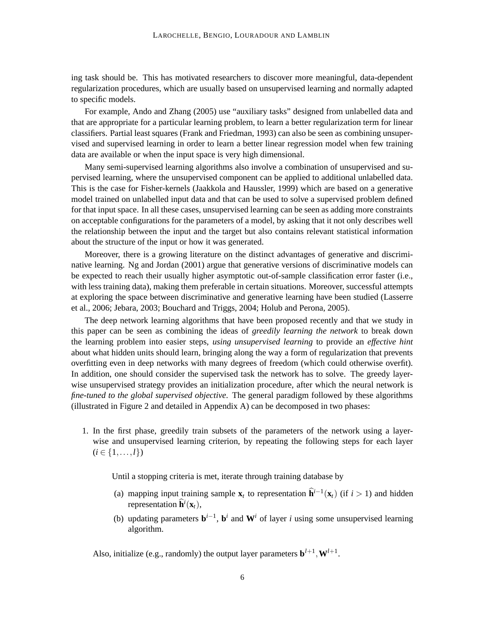ing task should be. This has motivated researchers to discover more meaningful, data-dependent regularization procedures, which are usually based on unsupervised learning and normally adapted to specific models.

For example, Ando and Zhang (2005) use "auxiliary tasks" designed from unlabelled data and that are appropriate for a particular learning problem, to learn a better regularization term for linear classifiers. Partial least squares (Frank and Friedman, 1993) can also be seen as combining unsupervised and supervised learning in order to learn a better linear regression model when few training data are available or when the input space is very high dimensional.

Many semi-supervised learning algorithms also involve a combination of unsupervised and supervised learning, where the unsupervised component can be applied to additional unlabelled data. This is the case for Fisher-kernels (Jaakkola and Haussler, 1999) which are based on a generative model trained on unlabelled input data and that can be used to solve a supervised problem defined for that input space. In all these cases, unsupervised learning can be seen as adding more constraints on acceptable configurations for the parameters of a model, by asking that it not only describes well the relationship between the input and the target but also contains relevant statistical information about the structure of the input or how it was generated.

Moreover, there is a growing literature on the distinct advantages of generative and discriminative learning. Ng and Jordan (2001) argue that generative versions of discriminative models can be expected to reach their usually higher asymptotic out-of-sample classification error faster (i.e., with less training data), making them preferable in certain situations. Moreover, successful attempts at exploring the space between discriminative and generative learning have been studied (Lasserre et al., 2006; Jebara, 2003; Bouchard and Triggs, 2004; Holub and Perona, 2005).

The deep network learning algorithms that have been proposed recently and that we study in this paper can be seen as combining the ideas of *greedily learning the network* to break down the learning problem into easier steps, *using unsupervised learning* to provide an *effective hint* about what hidden units should learn, bringing along the way a form of regularization that prevents overfitting even in deep networks with many degrees of freedom (which could otherwise overfit). In addition, one should consider the supervised task the network has to solve. The greedy layerwise unsupervised strategy provides an initialization procedure, after which the neural network is *fine-tuned to the global supervised objective*. The general paradigm followed by these algorithms (illustrated in Figure 2 and detailed in Appendix A) can be decomposed in two phases:

1. In the first phase, greedily train subsets of the parameters of the network using a layerwise and unsupervised learning criterion, by repeating the following steps for each layer  $(i \in \{1, \ldots, l\})$ 

Until a stopping criteria is met, iterate through training database by

- (a) mapping input training sample  $\mathbf{x}_t$  to representation  $\hat{\mathbf{h}}^{i-1}(\mathbf{x}_t)$  (if  $i > 1$ ) and hidden representation  $\widehat{\mathbf{h}}^i(\mathbf{x}_t)$ ,
- (b) updating parameters  $\mathbf{b}^{i-1}$ ,  $\mathbf{b}^i$  and  $\mathbf{W}^i$  of layer *i* using some unsupervised learning algorithm.

Also, initialize (e.g., randomly) the output layer parameters  $\mathbf{b}^{l+1}, \mathbf{W}^{l+1}$ .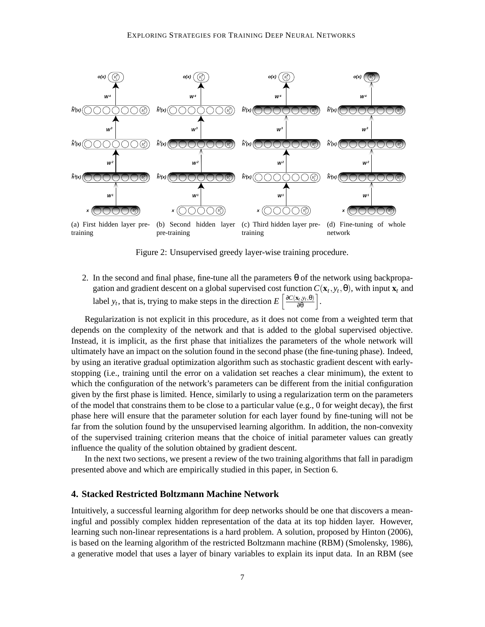

Figure 2: Unsupervised greedy layer-wise training procedure.

2. In the second and final phase, fine-tune all the parameters  $\theta$  of the network using backpropagation and gradient descent on a global supervised cost function  $C(\mathbf{x}_t, y_t, \theta)$ , with input  $\mathbf{x}_t$  and label *y<sub>t</sub>*, that is, trying to make steps in the direction  $E\left[\frac{\partial C(\mathbf{x}_t, y_t, \theta)}{\partial \theta}\right]$ .

Regularization is not explicit in this procedure, as it does not come from a weighted term that depends on the complexity of the network and that is added to the global supervised objective. Instead, it is implicit, as the first phase that initializes the parameters of the whole network will ultimately have an impact on the solution found in the second phase (the fine-tuning phase). Indeed, by using an iterative gradual optimization algorithm such as stochastic gradient descent with earlystopping (i.e., training until the error on a validation set reaches a clear minimum), the extent to which the configuration of the network's parameters can be different from the initial configuration given by the first phase is limited. Hence, similarly to using a regularization term on the parameters of the model that constrains them to be close to a particular value (e.g., 0 for weight decay), the first phase here will ensure that the parameter solution for each layer found by fine-tuning will not be far from the solution found by the unsupervised learning algorithm. In addition, the non-convexity of the supervised training criterion means that the choice of initial parameter values can greatly influence the quality of the solution obtained by gradient descent.

In the next two sections, we present a review of the two training algorithms that fall in paradigm presented above and which are empirically studied in this paper, in Section 6.

## **4. Stacked Restricted Boltzmann Machine Network**

Intuitively, a successful learning algorithm for deep networks should be one that discovers a meaningful and possibly complex hidden representation of the data at its top hidden layer. However, learning such non-linear representations is a hard problem. A solution, proposed by Hinton (2006), is based on the learning algorithm of the restricted Boltzmann machine (RBM) (Smolensky, 1986), a generative model that uses a layer of binary variables to explain its input data. In an RBM (see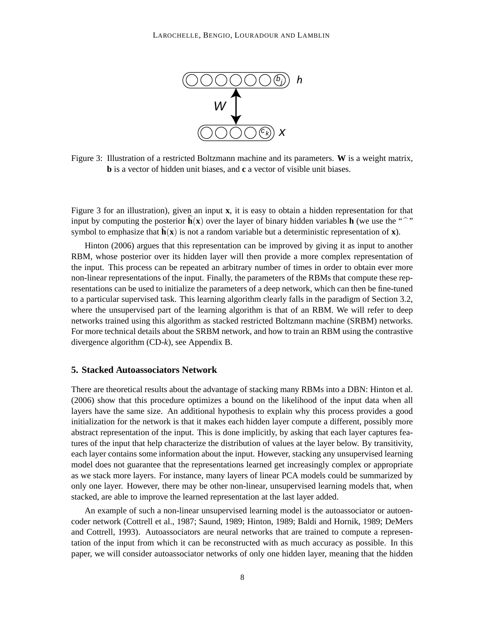

Figure 3: Illustration of a restricted Boltzmann machine and its parameters. **W** is a weight matrix, **b** is a vector of hidden unit biases, and **c** a vector of visible unit biases.

Figure 3 for an illustration), given an input **x**, it is easy to obtain a hidden representation for that input by computing the posterior  $h(x)$  over the layer of binary hidden variables **h** (we use the "<sup>one</sup>"") symbol to emphasize that  $\mathbf{h}(\mathbf{x})$  is not a random variable but a deterministic representation of **x**).

Hinton (2006) argues that this representation can be improved by giving it as input to another RBM, whose posterior over its hidden layer will then provide a more complex representation of the input. This process can be repeated an arbitrary number of times in order to obtain ever more non-linear representations of the input. Finally, the parameters of the RBMs that compute these representations can be used to initialize the parameters of a deep network, which can then be fine-tuned to a particular supervised task. This learning algorithm clearly falls in the paradigm of Section 3.2, where the unsupervised part of the learning algorithm is that of an RBM. We will refer to deep networks trained using this algorithm as stacked restricted Boltzmann machine (SRBM) networks. For more technical details about the SRBM network, and how to train an RBM using the contrastive divergence algorithm (CD-*k*), see Appendix B.

## **5. Stacked Autoassociators Network**

There are theoretical results about the advantage of stacking many RBMs into a DBN: Hinton et al. (2006) show that this procedure optimizes a bound on the likelihood of the input data when all layers have the same size. An additional hypothesis to explain why this process provides a good initialization for the network is that it makes each hidden layer compute a different, possibly more abstract representation of the input. This is done implicitly, by asking that each layer captures features of the input that help characterize the distribution of values at the layer below. By transitivity, each layer contains some information about the input. However, stacking any unsupervised learning model does not guarantee that the representations learned get increasingly complex or appropriate as we stack more layers. For instance, many layers of linear PCA models could be summarized by only one layer. However, there may be other non-linear, unsupervised learning models that, when stacked, are able to improve the learned representation at the last layer added.

An example of such a non-linear unsupervised learning model is the autoassociator or autoencoder network (Cottrell et al., 1987; Saund, 1989; Hinton, 1989; Baldi and Hornik, 1989; DeMers and Cottrell, 1993). Autoassociators are neural networks that are trained to compute a representation of the input from which it can be reconstructed with as much accuracy as possible. In this paper, we will consider autoassociator networks of only one hidden layer, meaning that the hidden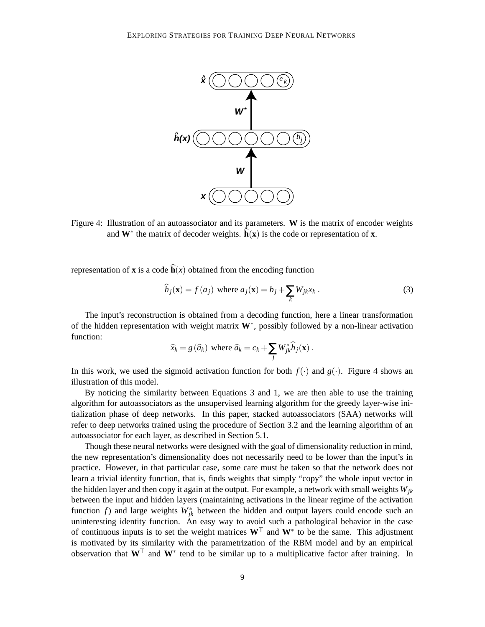

Figure 4: Illustration of an autoassociator and its parameters. **W** is the matrix of encoder weights and  $W^*$  the matrix of decoder weights.  $\hat{h}(x)$  is the code or representation of **x**.

representation of **x** is a code  $\hat{\mathbf{h}}(x)$  obtained from the encoding function

$$
\widehat{h}_j(\mathbf{x}) = f(a_j) \text{ where } a_j(\mathbf{x}) = b_j + \sum_k W_{jk} x_k.
$$
 (3)

The input's reconstruction is obtained from a decoding function, here a linear transformation of the hidden representation with weight matrix **W**<sup>∗</sup> , possibly followed by a non-linear activation function:

$$
\widehat{x}_k = g(\widehat{a}_k) \text{ where } \widehat{a}_k = c_k + \sum_j W_{jk}^* \widehat{h}_j(\mathbf{x}) .
$$

In this work, we used the sigmoid activation function for both  $f(\cdot)$  and  $g(\cdot)$ . Figure 4 shows an illustration of this model.

By noticing the similarity between Equations 3 and 1, we are then able to use the training algorithm for autoassociators as the unsupervised learning algorithm for the greedy layer-wise initialization phase of deep networks. In this paper, stacked autoassociators (SAA) networks will refer to deep networks trained using the procedure of Section 3.2 and the learning algorithm of an autoassociator for each layer, as described in Section 5.1.

Though these neural networks were designed with the goal of dimensionality reduction in mind, the new representation's dimensionality does not necessarily need to be lower than the input's in practice. However, in that particular case, some care must be taken so that the network does not learn a trivial identity function, that is, finds weights that simply "copy" the whole input vector in the hidden layer and then copy it again at the output. For example, a network with small weights *Wjk* between the input and hidden layers (maintaining activations in the linear regime of the activation function *f*) and large weights  $W_{jk}^*$  between the hidden and output layers could encode such an uninteresting identity function. An easy way to avoid such a pathological behavior in the case of continuous inputs is to set the weight matrices **W**<sup>T</sup> and **W**<sup>∗</sup> to be the same. This adjustment is motivated by its similarity with the parametrization of the RBM model and by an empirical observation that **W**<sup>T</sup> and **W**<sup>∗</sup> tend to be similar up to a multiplicative factor after training. In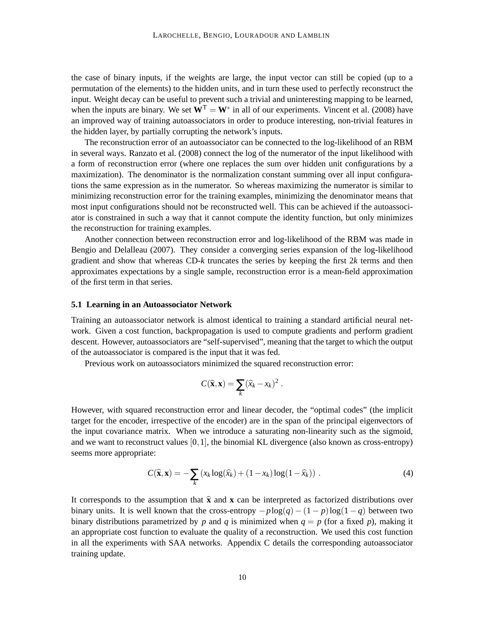the case of binary inputs, if the weights are large, the input vector can still be copied (up to a permutation of the elements) to the hidden units, and in turn these used to perfectly reconstruct the input. Weight decay can be useful to prevent such a trivial and uninteresting mapping to be learned, when the inputs are binary. We set  $\hat{W}^T = W^*$  in all of our experiments. Vincent et al. (2008) have an improved way of training autoassociators in order to produce interesting, non-trivial features in the hidden layer, by partially corrupting the network's inputs.

The reconstruction error of an autoassociator can be connected to the log-likelihood of an RBM in several ways. Ranzato et al. (2008) connect the log of the numerator of the input likelihood with a form of reconstruction error (where one replaces the sum over hidden unit configurations by a maximization). The denominator is the normalization constant summing over all input configurations the same expression as in the numerator. So whereas maximizing the numerator is similar to minimizing reconstruction error for the training examples, minimizing the denominator means that most input configurations should not be reconstructed well. This can be achieved if the autoassociator is constrained in such a way that it cannot compute the identity function, but only minimizes the reconstruction for training examples.

Another connection between reconstruction error and log-likelihood of the RBM was made in Bengio and Delalleau (2007). They consider a converging series expansion of the log-likelihood gradient and show that whereas CD-*k* truncates the series by keeping the first 2*k* terms and then approximates expectations by a single sample, reconstruction error is a mean-field approximation of the first term in that series.

#### **5.1 Learning in an Autoassociator Network**

Training an autoassociator network is almost identical to training a standard artificial neural network. Given a cost function, backpropagation is used to compute gradients and perform gradient descent. However, autoassociators are "self-supervised", meaning that the target to which the output of the autoassociator is compared is the input that it was fed.

Previous work on autoassociators minimized the squared reconstruction error:

$$
C(\widehat{\mathbf{x}}, \mathbf{x}) = \sum_{k} (\widehat{x}_{k} - x_{k})^{2}.
$$

However, with squared reconstruction error and linear decoder, the "optimal codes" (the implicit target for the encoder, irrespective of the encoder) are in the span of the principal eigenvectors of the input covariance matrix. When we introduce a saturating non-linearity such as the sigmoid, and we want to reconstruct values  $[0,1]$ , the binomial KL divergence (also known as cross-entropy) seems more appropriate:

$$
C(\widehat{\mathbf{x}}, \mathbf{x}) = -\sum_{k} \left( x_k \log(\widehat{x}_k) + (1 - x_k) \log(1 - \widehat{x}_k) \right) . \tag{4}
$$

It corresponds to the assumption that  $\hat{\mathbf{x}}$  and  $\mathbf{x}$  can be interpreted as factorized distributions over binary units. It is well known that the cross-entropy  $-p \log(q) - (1-p) \log(1-q)$  between two binary distributions parametrized by *p* and *q* is minimized when  $q = p$  (for a fixed *p*), making it an appropriate cost function to evaluate the quality of a reconstruction. We used this cost function in all the experiments with SAA networks. Appendix C details the corresponding autoassociator training update.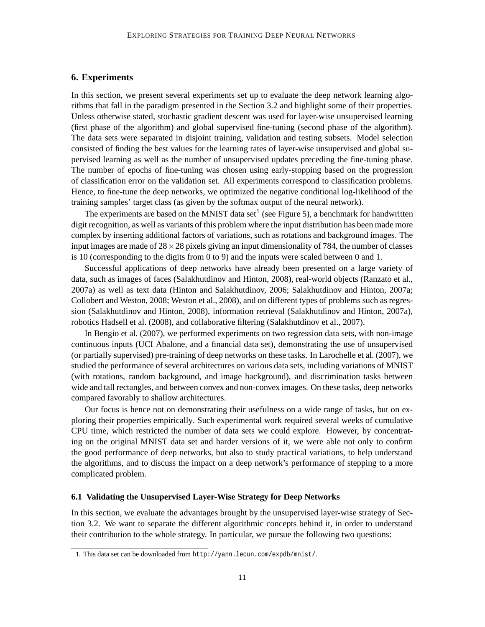## **6. Experiments**

In this section, we present several experiments set up to evaluate the deep network learning algorithms that fall in the paradigm presented in the Section 3.2 and highlight some of their properties. Unless otherwise stated, stochastic gradient descent was used for layer-wise unsupervised learning (first phase of the algorithm) and global supervised fine-tuning (second phase of the algorithm). The data sets were separated in disjoint training, validation and testing subsets. Model selection consisted of finding the best values for the learning rates of layer-wise unsupervised and global supervised learning as well as the number of unsupervised updates preceding the fine-tuning phase. The number of epochs of fine-tuning was chosen using early-stopping based on the progression of classification error on the validation set. All experiments correspond to classification problems. Hence, to fine-tune the deep networks, we optimized the negative conditional log-likelihood of the training samples' target class (as given by the softmax output of the neural network).

The experiments are based on the MNIST data set<sup>1</sup> (see Figure 5), a benchmark for handwritten digit recognition, as well as variants of this problem where the input distribution has been made more complex by inserting additional factors of variations, such as rotations and background images. The input images are made of  $28 \times 28$  pixels giving an input dimensionality of 784, the number of classes is 10 (corresponding to the digits from 0 to 9) and the inputs were scaled between 0 and 1.

Successful applications of deep networks have already been presented on a large variety of data, such as images of faces (Salakhutdinov and Hinton, 2008), real-world objects (Ranzato et al., 2007a) as well as text data (Hinton and Salakhutdinov, 2006; Salakhutdinov and Hinton, 2007a; Collobert and Weston, 2008; Weston et al., 2008), and on different types of problems such as regression (Salakhutdinov and Hinton, 2008), information retrieval (Salakhutdinov and Hinton, 2007a), robotics Hadsell et al. (2008), and collaborative filtering (Salakhutdinov et al., 2007).

In Bengio et al. (2007), we performed experiments on two regression data sets, with non-image continuous inputs (UCI Abalone, and a financial data set), demonstrating the use of unsupervised (or partially supervised) pre-training of deep networks on these tasks. In Larochelle et al. (2007), we studied the performance of several architectures on various data sets, including variations of MNIST (with rotations, random background, and image background), and discrimination tasks between wide and tall rectangles, and between convex and non-convex images. On these tasks, deep networks compared favorably to shallow architectures.

Our focus is hence not on demonstrating their usefulness on a wide range of tasks, but on exploring their properties empirically. Such experimental work required several weeks of cumulative CPU time, which restricted the number of data sets we could explore. However, by concentrating on the original MNIST data set and harder versions of it, we were able not only to confirm the good performance of deep networks, but also to study practical variations, to help understand the algorithms, and to discuss the impact on a deep network's performance of stepping to a more complicated problem.

### **6.1 Validating the Unsupervised Layer-Wise Strategy for Deep Networks**

In this section, we evaluate the advantages brought by the unsupervised layer-wise strategy of Section 3.2. We want to separate the different algorithmic concepts behind it, in order to understand their contribution to the whole strategy. In particular, we pursue the following two questions:

<sup>1.</sup> This data set can be downloaded from http://yann.lecun.com/expdb/mnist/.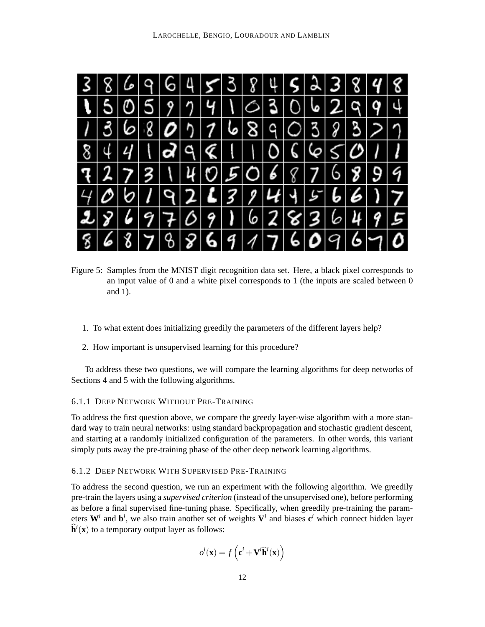

Figure 5: Samples from the MNIST digit recognition data set. Here, a black pixel corresponds to an input value of 0 and a white pixel corresponds to 1 (the inputs are scaled between 0 and 1).

- 1. To what extent does initializing greedily the parameters of the different layers help?
- 2. How important is unsupervised learning for this procedure?

To address these two questions, we will compare the learning algorithms for deep networks of Sections 4 and 5 with the following algorithms.

### 6.1.1 DEEP NETWORK WITHOUT PRE-TRAINING

To address the first question above, we compare the greedy layer-wise algorithm with a more standard way to train neural networks: using standard backpropagation and stochastic gradient descent, and starting at a randomly initialized configuration of the parameters. In other words, this variant simply puts away the pre-training phase of the other deep network learning algorithms.

## 6.1.2 DEEP NETWORK WITH SUPERVISED PRE-TRAINING

To address the second question, we run an experiment with the following algorithm. We greedily pre-train the layers using a *supervised criterion* (instead of the unsupervised one), before performing as before a final supervised fine-tuning phase. Specifically, when greedily pre-training the parameters  $W<sup>i</sup>$  and  $b<sup>i</sup>$ , we also train another set of weights  $V<sup>i</sup>$  and biases  $c<sup>i</sup>$  which connect hidden layer  $\hat{\mathbf{h}}^i(\mathbf{x})$  to a temporary output layer as follows:

$$
o^i(\mathbf{x}) = f\left(\mathbf{c}^i + \mathbf{V}^i\hat{\mathbf{h}}^i(\mathbf{x})\right)
$$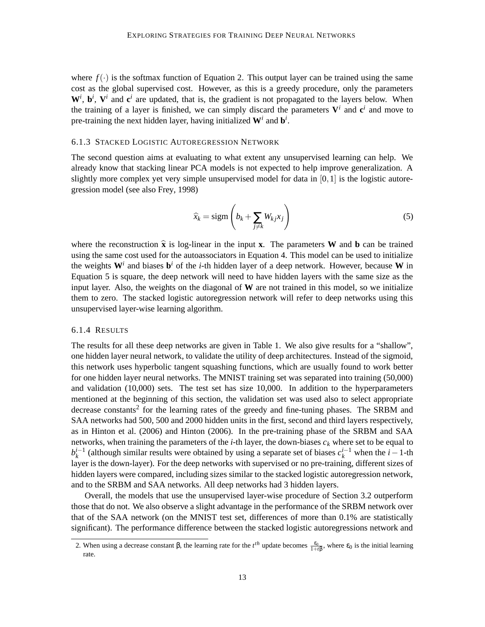where  $f(\cdot)$  is the softmax function of Equation 2. This output layer can be trained using the same cost as the global supervised cost. However, as this is a greedy procedure, only the parameters  $W^i$ ,  $\mathbf{b}^i$ ,  $V^i$  and  $\mathbf{c}^i$  are updated, that is, the gradient is not propagated to the layers below. When the training of a layer is finished, we can simply discard the parameters  $V^i$  and  $c^i$  and move to pre-training the next hidden layer, having initialized  $W<sup>i</sup>$  and  $b<sup>i</sup>$ .

#### 6.1.3 STACKED LOGISTIC AUTOREGRESSION NETWORK

The second question aims at evaluating to what extent any unsupervised learning can help. We already know that stacking linear PCA models is not expected to help improve generalization. A slightly more complex yet very simple unsupervised model for data in  $[0,1]$  is the logistic autoregression model (see also Frey, 1998)

$$
\widehat{x}_k = \text{sigm}\left(b_k + \sum_{j \neq k} W_{kj} x_j\right) \tag{5}
$$

where the reconstruction  $\hat{\mathbf{x}}$  is log-linear in the input **x**. The parameters **W** and **b** can be trained using the same cost used for the autoassociators in Equation 4. This model can be used to initialize the weights **W***<sup>i</sup>* and biases **b** *<sup>i</sup>* of the *i*-th hidden layer of a deep network. However, because **W** in Equation 5 is square, the deep network will need to have hidden layers with the same size as the input layer. Also, the weights on the diagonal of **W** are not trained in this model, so we initialize them to zero. The stacked logistic autoregression network will refer to deep networks using this unsupervised layer-wise learning algorithm.

#### 6.1.4 RESULTS

The results for all these deep networks are given in Table 1. We also give results for a "shallow", one hidden layer neural network, to validate the utility of deep architectures. Instead of the sigmoid, this network uses hyperbolic tangent squashing functions, which are usually found to work better for one hidden layer neural networks. The MNIST training set was separated into training (50,000) and validation (10,000) sets. The test set has size 10,000. In addition to the hyperparameters mentioned at the beginning of this section, the validation set was used also to select appropriate decrease constants<sup>2</sup> for the learning rates of the greedy and fine-tuning phases. The SRBM and SAA networks had 500, 500 and 2000 hidden units in the first, second and third layers respectively, as in Hinton et al. (2006) and Hinton (2006). In the pre-training phase of the SRBM and SAA networks, when training the parameters of the *i*-th layer, the down-biases *c<sup>k</sup>* where set to be equal to  $b_k^{i-1}$  (although similar results were obtained by using a separate set of biases  $c_k^{i-1}$  when the *i*−1-th layer is the down-layer). For the deep networks with supervised or no pre-training, different sizes of hidden layers were compared, including sizes similar to the stacked logistic autoregression network, and to the SRBM and SAA networks. All deep networks had 3 hidden layers.

Overall, the models that use the unsupervised layer-wise procedure of Section 3.2 outperform those that do not. We also observe a slight advantage in the performance of the SRBM network over that of the SAA network (on the MNIST test set, differences of more than 0.1% are statistically significant). The performance difference between the stacked logistic autoregressions network and

<sup>2.</sup> When using a decrease constant β, the learning rate for the  $t<sup>th</sup>$  update becomes  $\frac{\varepsilon_0}{1+t\beta}$ , where  $\varepsilon_0$  is the initial learning rate.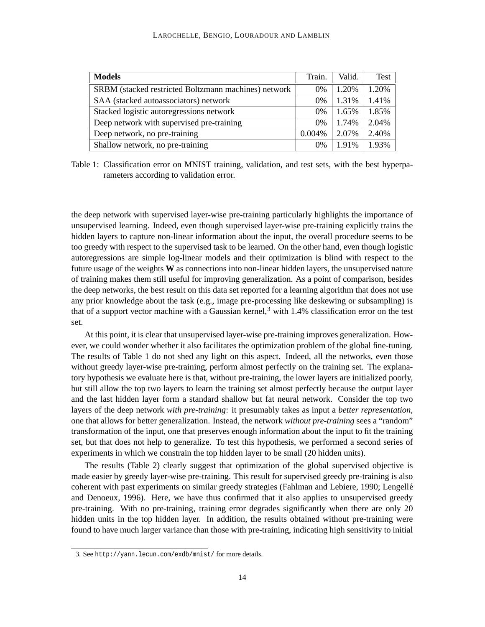| <b>Models</b>                                        | Train.    | Valid. | Test  |
|------------------------------------------------------|-----------|--------|-------|
| SRBM (stacked restricted Boltzmann machines) network | 0%        | 1.20%  | 1.20% |
| SAA (stacked autoassociators) network                | 0%        | 1.31%  | 1.41% |
| Stacked logistic autoregressions network             | 0%        | 1.65%  | 1.85% |
| Deep network with supervised pre-training            | 0%        | 1.74%  | 2.04% |
| Deep network, no pre-training                        | $0.004\%$ | 2.07%  | 2.40% |
| Shallow network, no pre-training                     | 0%        | 1.91%  | 1.93% |

Table 1: Classification error on MNIST training, validation, and test sets, with the best hyperparameters according to validation error.

the deep network with supervised layer-wise pre-training particularly highlights the importance of unsupervised learning. Indeed, even though supervised layer-wise pre-training explicitly trains the hidden layers to capture non-linear information about the input, the overall procedure seems to be too greedy with respect to the supervised task to be learned. On the other hand, even though logistic autoregressions are simple log-linear models and their optimization is blind with respect to the future usage of the weights **W** as connections into non-linear hidden layers, the unsupervised nature of training makes them still useful for improving generalization. As a point of comparison, besides the deep networks, the best result on this data set reported for a learning algorithm that does not use any prior knowledge about the task (e.g., image pre-processing like deskewing or subsampling) is that of a support vector machine with a Gaussian kernel,<sup>3</sup> with 1.4% classification error on the test set.

At this point, it is clear that unsupervised layer-wise pre-training improves generalization. However, we could wonder whether it also facilitates the optimization problem of the global fine-tuning. The results of Table 1 do not shed any light on this aspect. Indeed, all the networks, even those without greedy layer-wise pre-training, perform almost perfectly on the training set. The explanatory hypothesis we evaluate here is that, without pre-training, the lower layers are initialized poorly, but still allow the top two layers to learn the training set almost perfectly because the output layer and the last hidden layer form a standard shallow but fat neural network. Consider the top two layers of the deep network *with pre-training*: it presumably takes as input a *better representation*, one that allows for better generalization. Instead, the network *without pre-training* sees a "random" transformation of the input, one that preserves enough information about the input to fit the training set, but that does not help to generalize. To test this hypothesis, we performed a second series of experiments in which we constrain the top hidden layer to be small (20 hidden units).

The results (Table 2) clearly suggest that optimization of the global supervised objective is made easier by greedy layer-wise pre-training. This result for supervised greedy pre-training is also coherent with past experiments on similar greedy strategies (Fahlman and Lebiere, 1990; Lengelle´ and Denoeux, 1996). Here, we have thus confirmed that it also applies to unsupervised greedy pre-training. With no pre-training, training error degrades significantly when there are only 20 hidden units in the top hidden layer. In addition, the results obtained without pre-training were found to have much larger variance than those with pre-training, indicating high sensitivity to initial

<sup>3.</sup> See http://yann.lecun.com/exdb/mnist/ for more details.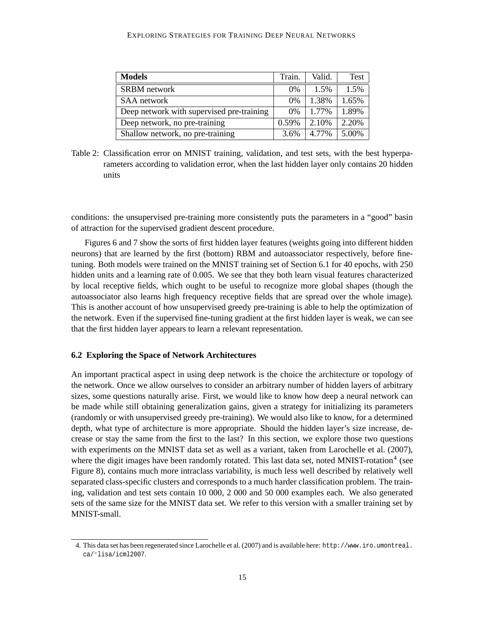#### EXPLORING STRATEGIES FOR TRAINING DEEP NEURAL NETWORKS

| <b>Models</b>                             | Train. | Valid. | <b>Test</b> |
|-------------------------------------------|--------|--------|-------------|
| SRBM network                              | $0\%$  | 1.5%   | 1.5%        |
| SAA network                               | $0\%$  | 1.38%  | 1.65%       |
| Deep network with supervised pre-training | $0\%$  | 1.77%  | 1.89%       |
| Deep network, no pre-training             | 0.59%  | 2.10%  | 2.20%       |
| Shallow network, no pre-training          | 3.6%   | 4.77%  | 5.00%       |

Table 2: Classification error on MNIST training, validation, and test sets, with the best hyperparameters according to validation error, when the last hidden layer only contains 20 hidden units

conditions: the unsupervised pre-training more consistently puts the parameters in a "good" basin of attraction for the supervised gradient descent procedure.

Figures 6 and 7 show the sorts of first hidden layer features (weights going into different hidden neurons) that are learned by the first (bottom) RBM and autoassociator respectively, before finetuning. Both models were trained on the MNIST training set of Section 6.1 for 40 epochs, with 250 hidden units and a learning rate of 0.005. We see that they both learn visual features characterized by local receptive fields, which ought to be useful to recognize more global shapes (though the autoassociator also learns high frequency receptive fields that are spread over the whole image). This is another account of how unsupervised greedy pre-training is able to help the optimization of the network. Even if the supervised fine-tuning gradient at the first hidden layer is weak, we can see that the first hidden layer appears to learn a relevant representation.

### **6.2 Exploring the Space of Network Architectures**

An important practical aspect in using deep network is the choice the architecture or topology of the network. Once we allow ourselves to consider an arbitrary number of hidden layers of arbitrary sizes, some questions naturally arise. First, we would like to know how deep a neural network can be made while still obtaining generalization gains, given a strategy for initializing its parameters (randomly or with unsupervised greedy pre-training). We would also like to know, for a determined depth, what type of architecture is more appropriate. Should the hidden layer's size increase, decrease or stay the same from the first to the last? In this section, we explore those two questions with experiments on the MNIST data set as well as a variant, taken from Larochelle et al. (2007), where the digit images have been randomly rotated. This last data set, noted MNIST-rotation<sup>4</sup> (see Figure 8), contains much more intraclass variability, is much less well described by relatively well separated class-specific clusters and corresponds to a much harder classification problem. The training, validation and test sets contain 10 000, 2 000 and 50 000 examples each. We also generated sets of the same size for the MNIST data set. We refer to this version with a smaller training set by MNIST-small.

<sup>4.</sup> This data set has been regenerated since Larochelle et al. (2007) and is available here: http://www.iro.umontreal. ca/˜lisa/icml2007.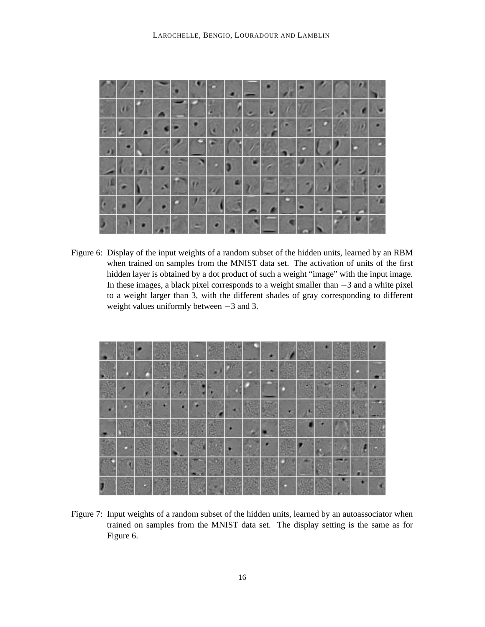

Figure 6: Display of the input weights of a random subset of the hidden units, learned by an RBM when trained on samples from the MNIST data set. The activation of units of the first hidden layer is obtained by a dot product of such a weight "image" with the input image. In these images, a black pixel corresponds to a weight smaller than −3 and a white pixel to a weight larger than 3, with the different shades of gray corresponding to different weight values uniformly between −3 and 3.

|  |  | ٠<br>$\bullet$ |  |  |  |  |  |  |
|--|--|----------------|--|--|--|--|--|--|

Figure 7: Input weights of a random subset of the hidden units, learned by an autoassociator when trained on samples from the MNIST data set. The display setting is the same as for Figure 6.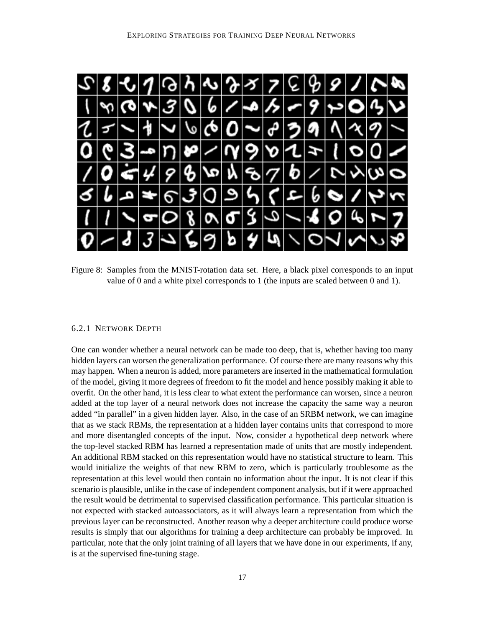

Figure 8: Samples from the MNIST-rotation data set. Here, a black pixel corresponds to an input value of 0 and a white pixel corresponds to 1 (the inputs are scaled between 0 and 1).

### 6.2.1 NETWORK DEPTH

One can wonder whether a neural network can be made too deep, that is, whether having too many hidden layers can worsen the generalization performance. Of course there are many reasons why this may happen. When a neuron is added, more parameters are inserted in the mathematical formulation of the model, giving it more degrees of freedom to fit the model and hence possibly making it able to overfit. On the other hand, it is less clear to what extent the performance can worsen, since a neuron added at the top layer of a neural network does not increase the capacity the same way a neuron added "in parallel" in a given hidden layer. Also, in the case of an SRBM network, we can imagine that as we stack RBMs, the representation at a hidden layer contains units that correspond to more and more disentangled concepts of the input. Now, consider a hypothetical deep network where the top-level stacked RBM has learned a representation made of units that are mostly independent. An additional RBM stacked on this representation would have no statistical structure to learn. This would initialize the weights of that new RBM to zero, which is particularly troublesome as the representation at this level would then contain no information about the input. It is not clear if this scenario is plausible, unlike in the case of independent component analysis, but if it were approached the result would be detrimental to supervised classification performance. This particular situation is not expected with stacked autoassociators, as it will always learn a representation from which the previous layer can be reconstructed. Another reason why a deeper architecture could produce worse results is simply that our algorithms for training a deep architecture can probably be improved. In particular, note that the only joint training of all layers that we have done in our experiments, if any, is at the supervised fine-tuning stage.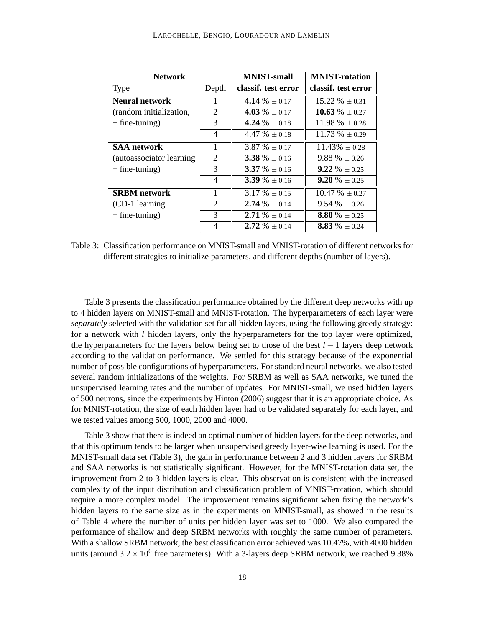| <b>Network</b>            |                          | <b>MNIST-small</b>  | <b>MNIST-rotation</b>    |
|---------------------------|--------------------------|---------------------|--------------------------|
| <b>Type</b>               | Depth                    | classif. test error | classif. test error      |
| <b>Neural network</b>     |                          | 4.14 % $+$ 0.17     | $15.22 \% \pm 0.31$      |
| (random initialization,   | 2                        | 4.03 % $\pm$ 0.17   | 10.63 % $\pm$ 0.27       |
| $+$ fine-tuning)          | 3                        | 4.24 % $+0.18$      | $11.98\% \pm 0.28$       |
|                           | $\overline{\mathcal{A}}$ | $4.47\% + 0.18$     | $11.73\% + 0.29$         |
| <b>SAA</b> network        | $\mathbf{1}$             | $3.87\% \pm 0.17$   | $11.43\% + 0.28$         |
| (autoassociator learning) | $\overline{2}$           | 3.38 % $\pm$ 0.16   | $9.88\% \pm 0.26$        |
| $+$ fine-tuning)          | 3                        | $3.37 \% + 0.16$    | <b>9.22</b> % $\pm$ 0.25 |
|                           | $\overline{4}$           | 3.39 % $+0.16$      | 9.20 % + 0.25            |
| <b>SRBM</b> network       |                          | $3.17 \% \pm 0.15$  | $10.47 \% \pm 0.27$      |
| (CD-1 learning)           | 2                        | $2.74\% + 0.14$     | $9.54\% \pm 0.26$        |
| $+$ fine-tuning)          | 3                        | 2.71 % $\pm$ 0.14   | 8.80 % $\pm$ 0.25        |
|                           | $\overline{4}$           | 2.72 % $\pm$ 0.14   | 8.83 % $\pm$ 0.24        |

Table 3: Classification performance on MNIST-small and MNIST-rotation of different networks for different strategies to initialize parameters, and different depths (number of layers).

Table 3 presents the classification performance obtained by the different deep networks with up to 4 hidden layers on MNIST-small and MNIST-rotation. The hyperparameters of each layer were *separately* selected with the validation set for all hidden layers, using the following greedy strategy: for a network with *l* hidden layers, only the hyperparameters for the top layer were optimized, the hyperparameters for the layers below being set to those of the best *l* − 1 layers deep network according to the validation performance. We settled for this strategy because of the exponential number of possible configurations of hyperparameters. For standard neural networks, we also tested several random initializations of the weights. For SRBM as well as SAA networks, we tuned the unsupervised learning rates and the number of updates. For MNIST-small, we used hidden layers of 500 neurons, since the experiments by Hinton (2006) suggest that it is an appropriate choice. As for MNIST-rotation, the size of each hidden layer had to be validated separately for each layer, and we tested values among 500, 1000, 2000 and 4000.

Table 3 show that there is indeed an optimal number of hidden layers for the deep networks, and that this optimum tends to be larger when unsupervised greedy layer-wise learning is used. For the MNIST-small data set (Table 3), the gain in performance between 2 and 3 hidden layers for SRBM and SAA networks is not statistically significant. However, for the MNIST-rotation data set, the improvement from 2 to 3 hidden layers is clear. This observation is consistent with the increased complexity of the input distribution and classification problem of MNIST-rotation, which should require a more complex model. The improvement remains significant when fixing the network's hidden layers to the same size as in the experiments on MNIST-small, as showed in the results of Table 4 where the number of units per hidden layer was set to 1000. We also compared the performance of shallow and deep SRBM networks with roughly the same number of parameters. With a shallow SRBM network, the best classification error achieved was 10.47%, with 4000 hidden units (around  $3.2 \times 10^6$  free parameters). With a 3-layers deep SRBM network, we reached 9.38%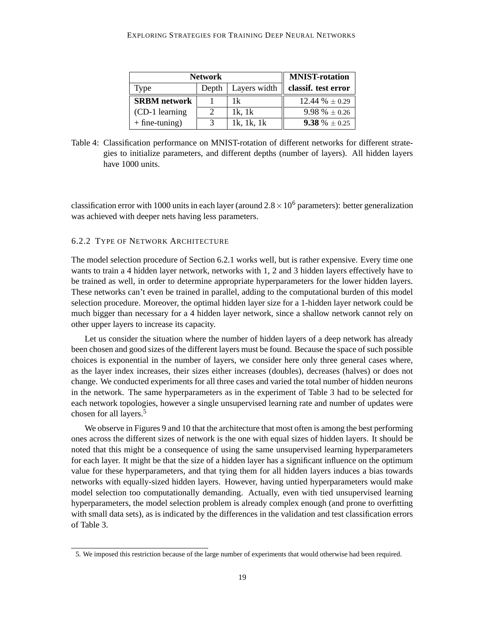| <b>Network</b>      | <b>MNIST-rotation</b> |              |                     |
|---------------------|-----------------------|--------------|---------------------|
| Type                | Depth                 | Layers width | classif. test error |
| <b>SRBM</b> network |                       | 1k           | $12.44\% + 0.29$    |
| (CD-1 learning)     | $\mathcal{D}$         | $1k$ , $1k$  | $9.98\% + 0.26$     |
| $+$ fine-tuning)    |                       | 1k, 1k, 1k   | 9.38 % + 0.25       |

Table 4: Classification performance on MNIST-rotation of different networks for different strategies to initialize parameters, and different depths (number of layers). All hidden layers have 1000 units.

classification error with 1000 units in each layer (around  $2.8 \times 10^6$  parameters): better generalization was achieved with deeper nets having less parameters.

### 6.2.2 TYPE OF NETWORK ARCHITECTURE

The model selection procedure of Section 6.2.1 works well, but is rather expensive. Every time one wants to train a 4 hidden layer network, networks with 1, 2 and 3 hidden layers effectively have to be trained as well, in order to determine appropriate hyperparameters for the lower hidden layers. These networks can't even be trained in parallel, adding to the computational burden of this model selection procedure. Moreover, the optimal hidden layer size for a 1-hidden layer network could be much bigger than necessary for a 4 hidden layer network, since a shallow network cannot rely on other upper layers to increase its capacity.

Let us consider the situation where the number of hidden layers of a deep network has already been chosen and good sizes of the different layers must be found. Because the space of such possible choices is exponential in the number of layers, we consider here only three general cases where, as the layer index increases, their sizes either increases (doubles), decreases (halves) or does not change. We conducted experiments for all three cases and varied the total number of hidden neurons in the network. The same hyperparameters as in the experiment of Table 3 had to be selected for each network topologies, however a single unsupervised learning rate and number of updates were chosen for all layers.<sup>5</sup>

We observe in Figures 9 and 10 that the architecture that most often is among the best performing ones across the different sizes of network is the one with equal sizes of hidden layers. It should be noted that this might be a consequence of using the same unsupervised learning hyperparameters for each layer. It might be that the size of a hidden layer has a significant influence on the optimum value for these hyperparameters, and that tying them for all hidden layers induces a bias towards networks with equally-sized hidden layers. However, having untied hyperparameters would make model selection too computationally demanding. Actually, even with tied unsupervised learning hyperparameters, the model selection problem is already complex enough (and prone to overfitting with small data sets), as is indicated by the differences in the validation and test classification errors of Table 3.

<sup>5.</sup> We imposed this restriction because of the large number of experiments that would otherwise had been required.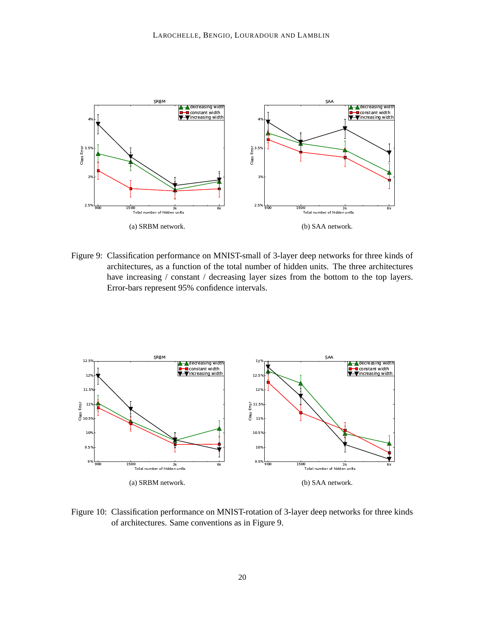

Figure 9: Classification performance on MNIST-small of 3-layer deep networks for three kinds of architectures, as a function of the total number of hidden units. The three architectures have increasing / constant / decreasing layer sizes from the bottom to the top layers. Error-bars represent 95% confidence intervals.



Figure 10: Classification performance on MNIST-rotation of 3-layer deep networks for three kinds of architectures. Same conventions as in Figure 9.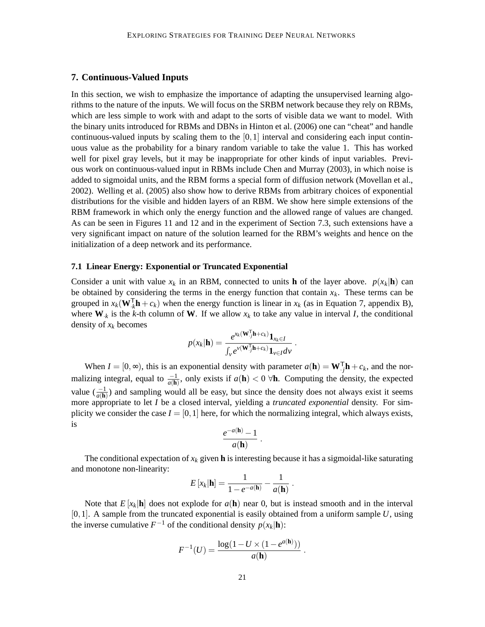## **7. Continuous-Valued Inputs**

In this section, we wish to emphasize the importance of adapting the unsupervised learning algorithms to the nature of the inputs. We will focus on the SRBM network because they rely on RBMs, which are less simple to work with and adapt to the sorts of visible data we want to model. With the binary units introduced for RBMs and DBNs in Hinton et al. (2006) one can "cheat" and handle continuous-valued inputs by scaling them to the  $[0,1]$  interval and considering each input continuous value as the probability for a binary random variable to take the value 1. This has worked well for pixel gray levels, but it may be inappropriate for other kinds of input variables. Previous work on continuous-valued input in RBMs include Chen and Murray (2003), in which noise is added to sigmoidal units, and the RBM forms a special form of diffusion network (Movellan et al., 2002). Welling et al. (2005) also show how to derive RBMs from arbitrary choices of exponential distributions for the visible and hidden layers of an RBM. We show here simple extensions of the RBM framework in which only the energy function and the allowed range of values are changed. As can be seen in Figures 11 and 12 and in the experiment of Section 7.3, such extensions have a very significant impact on nature of the solution learned for the RBM's weights and hence on the initialization of a deep network and its performance.

#### **7.1 Linear Energy: Exponential or Truncated Exponential**

Consider a unit with value  $x_k$  in an RBM, connected to units **h** of the layer above.  $p(x_k|\mathbf{h})$  can be obtained by considering the terms in the energy function that contain  $x_k$ . These terms can be grouped in  $x_k(\mathbf{W}_{k}^{\mathsf{T}}\mathbf{h}+c_k)$  when the energy function is linear in  $x_k$  (as in Equation 7, appendix B), where  $W_{\cdot k}$  is the *k*-th column of W. If we allow  $x_k$  to take any value in interval *I*, the conditional density of *x<sup>k</sup>* becomes

$$
p(x_k|\mathbf{h}) = \frac{e^{x_k(\mathbf{W}\mathbf{U})\mathbf{h} + c_k)} \mathbf{1}_{x_k \in I}}{\int_{\mathcal{V}} e^{\nu(\mathbf{W}\mathbf{U})\mathbf{h} + c_k)} \mathbf{1}_{\nu \in I} d\nu}.
$$

When  $I = [0, \infty)$ , this is an exponential density with parameter  $a(\mathbf{h}) = \mathbf{W}^{\top} \mathbf{h} + c_k$ , and the normalizing integral, equal to  $\frac{-1}{a(\mathbf{h})}$ , only exists if  $a(\mathbf{h}) < 0$   $\forall \mathbf{h}$ . Computing the density, the expected value  $\left(\frac{-1}{a(\mathbf{h})}\right)$  $\frac{-1}{a(\mathbf{h})}$  and sampling would all be easy, but since the density does not always exist it seems more appropriate to let *I* be a closed interval, yielding a *truncated exponential* density. For simplicity we consider the case  $I = [0, 1]$  here, for which the normalizing integral, which always exists, is

$$
\frac{e^{-a(\mathbf{h})}-1}{a(\mathbf{h})}.
$$

The conditional expectation of  $x_k$  given **h** is interesting because it has a sigmoidal-like saturating and monotone non-linearity:

$$
E\left[x_k|\mathbf{h}\right] = \frac{1}{1 - e^{-a(\mathbf{h})}} - \frac{1}{a(\mathbf{h})}.
$$

Note that  $E[x_k]$ **h** does not explode for  $a(\mathbf{h})$  near 0, but is instead smooth and in the interval [0,1]. A sample from the truncated exponential is easily obtained from a uniform sample *U*, using the inverse cumulative  $F^{-1}$  of the conditional density  $p(x_k|\mathbf{h})$ :

$$
F^{-1}(U) = \frac{\log(1 - U \times (1 - e^{a(\mathbf{h})}))}{a(\mathbf{h})}.
$$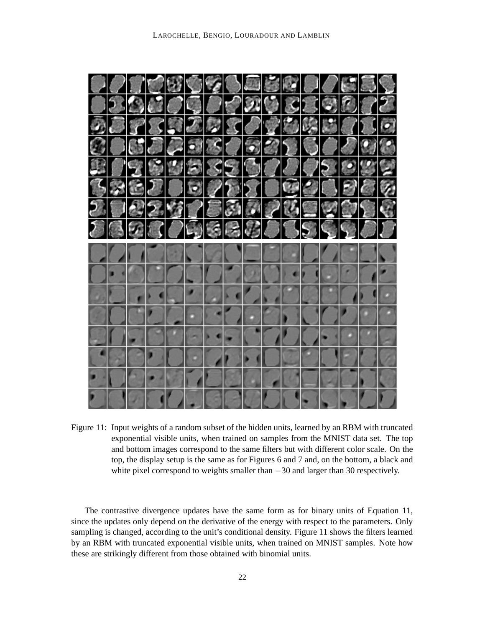

Figure 11: Input weights of a random subset of the hidden units, learned by an RBM with truncated exponential visible units, when trained on samples from the MNIST data set. The top and bottom images correspond to the same filters but with different color scale. On the top, the display setup is the same as for Figures 6 and 7 and, on the bottom, a black and white pixel correspond to weights smaller than −30 and larger than 30 respectively.

The contrastive divergence updates have the same form as for binary units of Equation 11, since the updates only depend on the derivative of the energy with respect to the parameters. Only sampling is changed, according to the unit's conditional density. Figure 11 shows the filters learned by an RBM with truncated exponential visible units, when trained on MNIST samples. Note how these are strikingly different from those obtained with binomial units.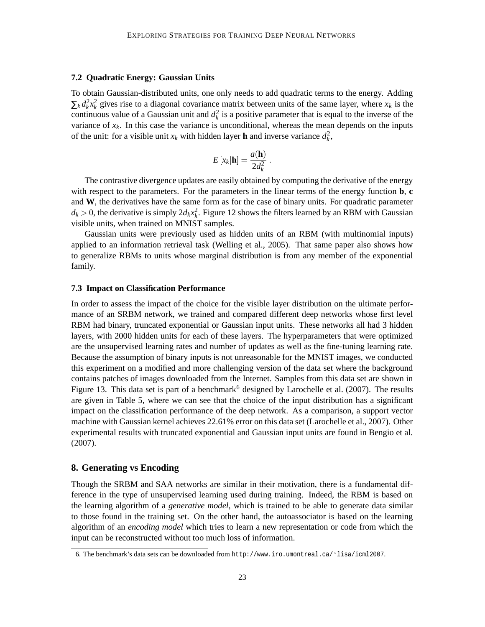### **7.2 Quadratic Energy: Gaussian Units**

To obtain Gaussian-distributed units, one only needs to add quadratic terms to the energy. Adding  $\sum_k d_k^2 x_k^2$  gives rise to a diagonal covariance matrix between units of the same layer, where  $x_k$  is the continuous value of a Gaussian unit and  $d_k^2$  is a positive parameter that is equal to the inverse of the variance of  $x_k$ . In this case the variance is unconditional, whereas the mean depends on the inputs of the unit: for a visible unit  $x_k$  with hidden layer **h** and inverse variance  $d_k^2$ ,

$$
E\left[x_k|\mathbf{h}\right] = \frac{a(\mathbf{h})}{2d_k^2} \ .
$$

The contrastive divergence updates are easily obtained by computing the derivative of the energy with respect to the parameters. For the parameters in the linear terms of the energy function **b**, **c** and **W**, the derivatives have the same form as for the case of binary units. For quadratic parameter  $d_k > 0$ , the derivative is simply  $2d_k x_k^2$ . Figure 12 shows the filters learned by an RBM with Gaussian visible units, when trained on MNIST samples.

Gaussian units were previously used as hidden units of an RBM (with multinomial inputs) applied to an information retrieval task (Welling et al., 2005). That same paper also shows how to generalize RBMs to units whose marginal distribution is from any member of the exponential family.

### **7.3 Impact on Classification Performance**

In order to assess the impact of the choice for the visible layer distribution on the ultimate performance of an SRBM network, we trained and compared different deep networks whose first level RBM had binary, truncated exponential or Gaussian input units. These networks all had 3 hidden layers, with 2000 hidden units for each of these layers. The hyperparameters that were optimized are the unsupervised learning rates and number of updates as well as the fine-tuning learning rate. Because the assumption of binary inputs is not unreasonable for the MNIST images, we conducted this experiment on a modified and more challenging version of the data set where the background contains patches of images downloaded from the Internet. Samples from this data set are shown in Figure 13. This data set is part of a benchmark<sup>6</sup> designed by Larochelle et al. (2007). The results are given in Table 5, where we can see that the choice of the input distribution has a significant impact on the classification performance of the deep network. As a comparison, a support vector machine with Gaussian kernel achieves 22.61% error on this data set (Larochelle et al., 2007). Other experimental results with truncated exponential and Gaussian input units are found in Bengio et al. (2007).

### **8. Generating vs Encoding**

Though the SRBM and SAA networks are similar in their motivation, there is a fundamental difference in the type of unsupervised learning used during training. Indeed, the RBM is based on the learning algorithm of a *generative model*, which is trained to be able to generate data similar to those found in the training set. On the other hand, the autoassociator is based on the learning algorithm of an *encoding model* which tries to learn a new representation or code from which the input can be reconstructed without too much loss of information.

<sup>6.</sup> The benchmark's data sets can be downloaded from http://www.iro.umontreal.ca/˜lisa/icml2007.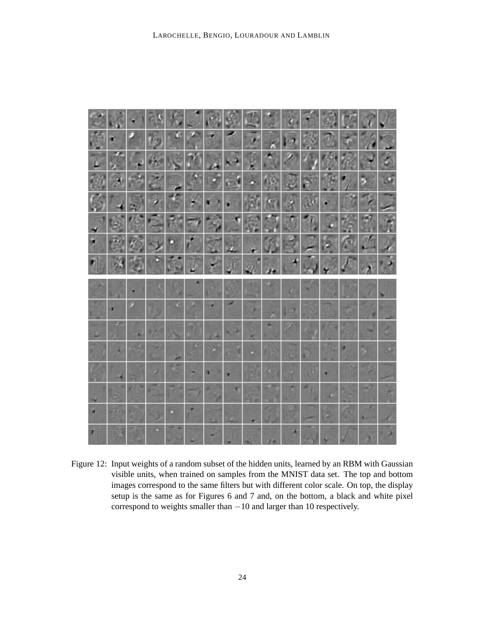

Figure 12: Input weights of a random subset of the hidden units, learned by an RBM with Gaussian visible units, when trained on samples from the MNIST data set. The top and bottom images correspond to the same filters but with different color scale. On top, the display setup is the same as for Figures 6 and 7 and, on the bottom, a black and white pixel correspond to weights smaller than −10 and larger than 10 respectively.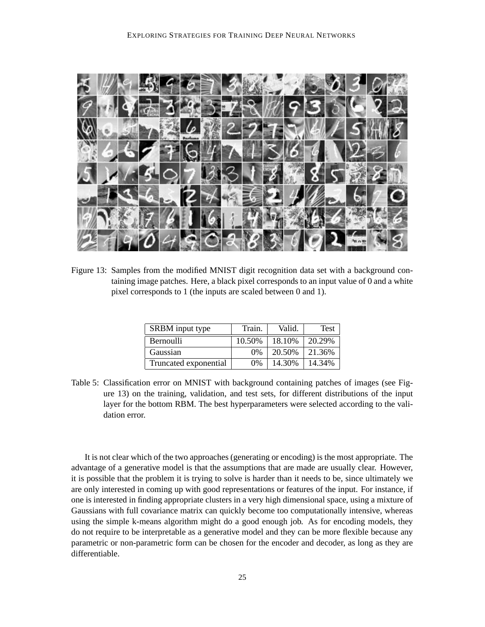

Figure 13: Samples from the modified MNIST digit recognition data set with a background containing image patches. Here, a black pixel corresponds to an input value of 0 and a white pixel corresponds to 1 (the inputs are scaled between 0 and 1).

| SRBM input type       | Train. | Valid. | Test   |
|-----------------------|--------|--------|--------|
| Bernoulli             | 10.50% | 18.10% | 20.29% |
| Gaussian              | 0%     | 20.50% | 21.36% |
| Truncated exponential | $0\%$  | 14.30% | 14.34% |

Table 5: Classification error on MNIST with background containing patches of images (see Figure 13) on the training, validation, and test sets, for different distributions of the input layer for the bottom RBM. The best hyperparameters were selected according to the validation error.

It is not clear which of the two approaches (generating or encoding) is the most appropriate. The advantage of a generative model is that the assumptions that are made are usually clear. However, it is possible that the problem it is trying to solve is harder than it needs to be, since ultimately we are only interested in coming up with good representations or features of the input. For instance, if one is interested in finding appropriate clusters in a very high dimensional space, using a mixture of Gaussians with full covariance matrix can quickly become too computationally intensive, whereas using the simple k-means algorithm might do a good enough job. As for encoding models, they do not require to be interpretable as a generative model and they can be more flexible because any parametric or non-parametric form can be chosen for the encoder and decoder, as long as they are differentiable.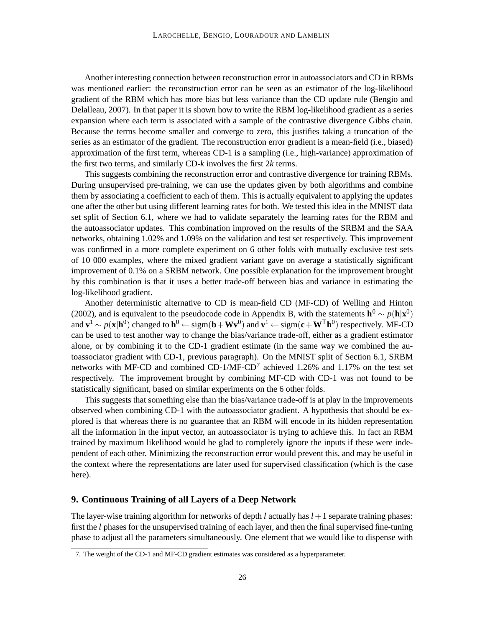Another interesting connection between reconstruction error in autoassociators and CD in RBMs was mentioned earlier: the reconstruction error can be seen as an estimator of the log-likelihood gradient of the RBM which has more bias but less variance than the CD update rule (Bengio and Delalleau, 2007). In that paper it is shown how to write the RBM log-likelihood gradient as a series expansion where each term is associated with a sample of the contrastive divergence Gibbs chain. Because the terms become smaller and converge to zero, this justifies taking a truncation of the series as an estimator of the gradient. The reconstruction error gradient is a mean-field (i.e., biased) approximation of the first term, whereas CD-1 is a sampling (i.e., high-variance) approximation of the first two terms, and similarly CD-*k* involves the first 2*k* terms.

This suggests combining the reconstruction error and contrastive divergence for training RBMs. During unsupervised pre-training, we can use the updates given by both algorithms and combine them by associating a coefficient to each of them. This is actually equivalent to applying the updates one after the other but using different learning rates for both. We tested this idea in the MNIST data set split of Section 6.1, where we had to validate separately the learning rates for the RBM and the autoassociator updates. This combination improved on the results of the SRBM and the SAA networks, obtaining 1.02% and 1.09% on the validation and test set respectively. This improvement was confirmed in a more complete experiment on 6 other folds with mutually exclusive test sets of 10 000 examples, where the mixed gradient variant gave on average a statistically significant improvement of 0.1% on a SRBM network. One possible explanation for the improvement brought by this combination is that it uses a better trade-off between bias and variance in estimating the log-likelihood gradient.

Another deterministic alternative to CD is mean-field CD (MF-CD) of Welling and Hinton (2002), and is equivalent to the pseudocode code in Appendix B, with the statements  $h^0 \sim p(h|x^0)$ and  $\mathbf{v}^1$  ∼  $p(\mathbf{x}|\mathbf{h}^0)$  changed to  $\mathbf{h}^0$  ← sigm( $\mathbf{b}$  + Wv<sup>0</sup>) and  $\mathbf{v}^1$  ← sigm( $\mathbf{c}$  + W<sup>T</sup> $\mathbf{h}^0$ ) respectively. MF-CD can be used to test another way to change the bias/variance trade-off, either as a gradient estimator alone, or by combining it to the CD-1 gradient estimate (in the same way we combined the autoassociator gradient with CD-1, previous paragraph). On the MNIST split of Section 6.1, SRBM networks with MF-CD and combined  $CD-1/MF-CD^7$  achieved 1.26% and 1.17% on the test set respectively. The improvement brought by combining MF-CD with CD-1 was not found to be statistically significant, based on similar experiments on the 6 other folds.

This suggests that something else than the bias/variance trade-off is at play in the improvements observed when combining CD-1 with the autoassociator gradient. A hypothesis that should be explored is that whereas there is no guarantee that an RBM will encode in its hidden representation all the information in the input vector, an autoassociator is trying to achieve this. In fact an RBM trained by maximum likelihood would be glad to completely ignore the inputs if these were independent of each other. Minimizing the reconstruction error would prevent this, and may be useful in the context where the representations are later used for supervised classification (which is the case here).

### **9. Continuous Training of all Layers of a Deep Network**

The layer-wise training algorithm for networks of depth *l* actually has *l* +1 separate training phases: first the *l* phases for the unsupervised training of each layer, and then the final supervised fine-tuning phase to adjust all the parameters simultaneously. One element that we would like to dispense with

<sup>7.</sup> The weight of the CD-1 and MF-CD gradient estimates was considered as a hyperparameter.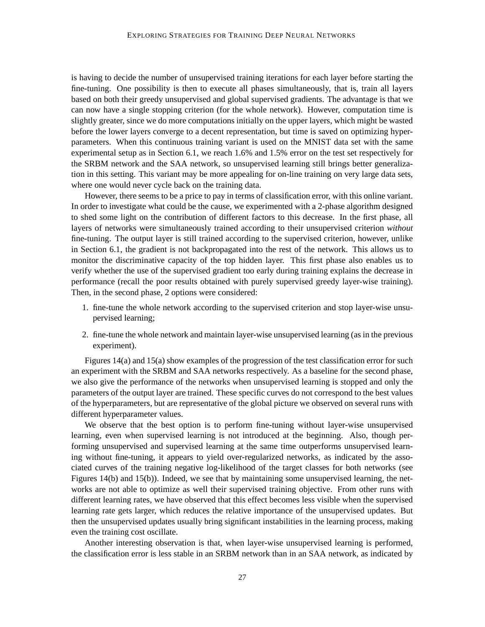is having to decide the number of unsupervised training iterations for each layer before starting the fine-tuning. One possibility is then to execute all phases simultaneously, that is, train all layers based on both their greedy unsupervised and global supervised gradients. The advantage is that we can now have a single stopping criterion (for the whole network). However, computation time is slightly greater, since we do more computations initially on the upper layers, which might be wasted before the lower layers converge to a decent representation, but time is saved on optimizing hyperparameters. When this continuous training variant is used on the MNIST data set with the same experimental setup as in Section 6.1, we reach 1.6% and 1.5% error on the test set respectively for the SRBM network and the SAA network, so unsupervised learning still brings better generalization in this setting. This variant may be more appealing for on-line training on very large data sets, where one would never cycle back on the training data.

However, there seems to be a price to pay in terms of classification error, with this online variant. In order to investigate what could be the cause, we experimented with a 2-phase algorithm designed to shed some light on the contribution of different factors to this decrease. In the first phase, all layers of networks were simultaneously trained according to their unsupervised criterion *without* fine-tuning. The output layer is still trained according to the supervised criterion, however, unlike in Section 6.1, the gradient is not backpropagated into the rest of the network. This allows us to monitor the discriminative capacity of the top hidden layer. This first phase also enables us to verify whether the use of the supervised gradient too early during training explains the decrease in performance (recall the poor results obtained with purely supervised greedy layer-wise training). Then, in the second phase, 2 options were considered:

- 1. fine-tune the whole network according to the supervised criterion and stop layer-wise unsupervised learning;
- 2. fine-tune the whole network and maintain layer-wise unsupervised learning (as in the previous experiment).

Figures 14(a) and 15(a) show examples of the progression of the test classification error for such an experiment with the SRBM and SAA networks respectively. As a baseline for the second phase, we also give the performance of the networks when unsupervised learning is stopped and only the parameters of the output layer are trained. These specific curves do not correspond to the best values of the hyperparameters, but are representative of the global picture we observed on several runs with different hyperparameter values.

We observe that the best option is to perform fine-tuning without layer-wise unsupervised learning, even when supervised learning is not introduced at the beginning. Also, though performing unsupervised and supervised learning at the same time outperforms unsupervised learning without fine-tuning, it appears to yield over-regularized networks, as indicated by the associated curves of the training negative log-likelihood of the target classes for both networks (see Figures 14(b) and 15(b)). Indeed, we see that by maintaining some unsupervised learning, the networks are not able to optimize as well their supervised training objective. From other runs with different learning rates, we have observed that this effect becomes less visible when the supervised learning rate gets larger, which reduces the relative importance of the unsupervised updates. But then the unsupervised updates usually bring significant instabilities in the learning process, making even the training cost oscillate.

Another interesting observation is that, when layer-wise unsupervised learning is performed, the classification error is less stable in an SRBM network than in an SAA network, as indicated by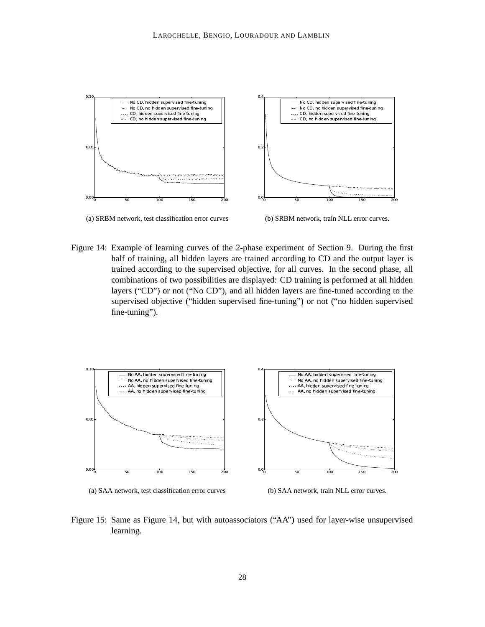

(a) SRBM network, test classification error curves



Figure 14: Example of learning curves of the 2-phase experiment of Section 9. During the first half of training, all hidden layers are trained according to CD and the output layer is trained according to the supervised objective, for all curves. In the second phase, all combinations of two possibilities are displayed: CD training is performed at all hidden layers ("CD") or not ("No CD"), and all hidden layers are fine-tuned according to the supervised objective ("hidden supervised fine-tuning") or not ("no hidden supervised fine-tuning").





(b) SAA network, train NLL error curves.

Figure 15: Same as Figure 14, but with autoassociators ("AA") used for layer-wise unsupervised learning.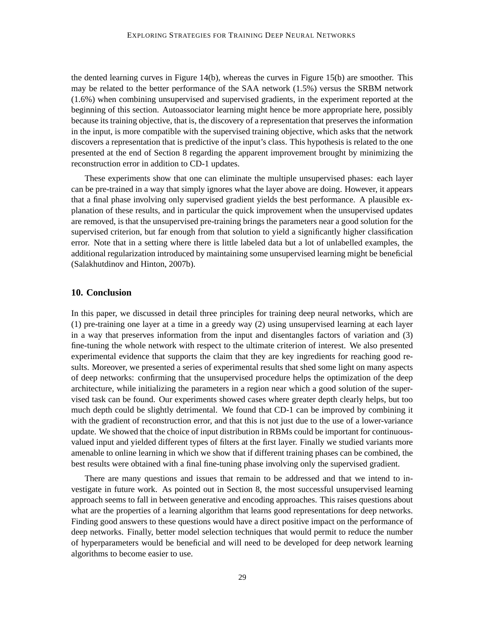the dented learning curves in Figure 14(b), whereas the curves in Figure 15(b) are smoother. This may be related to the better performance of the SAA network (1.5%) versus the SRBM network (1.6%) when combining unsupervised and supervised gradients, in the experiment reported at the beginning of this section. Autoassociator learning might hence be more appropriate here, possibly because its training objective, that is, the discovery of a representation that preserves the information in the input, is more compatible with the supervised training objective, which asks that the network discovers a representation that is predictive of the input's class. This hypothesis is related to the one presented at the end of Section 8 regarding the apparent improvement brought by minimizing the reconstruction error in addition to CD-1 updates.

These experiments show that one can eliminate the multiple unsupervised phases: each layer can be pre-trained in a way that simply ignores what the layer above are doing. However, it appears that a final phase involving only supervised gradient yields the best performance. A plausible explanation of these results, and in particular the quick improvement when the unsupervised updates are removed, is that the unsupervised pre-training brings the parameters near a good solution for the supervised criterion, but far enough from that solution to yield a significantly higher classification error. Note that in a setting where there is little labeled data but a lot of unlabelled examples, the additional regularization introduced by maintaining some unsupervised learning might be beneficial (Salakhutdinov and Hinton, 2007b).

### **10. Conclusion**

In this paper, we discussed in detail three principles for training deep neural networks, which are (1) pre-training one layer at a time in a greedy way (2) using unsupervised learning at each layer in a way that preserves information from the input and disentangles factors of variation and (3) fine-tuning the whole network with respect to the ultimate criterion of interest. We also presented experimental evidence that supports the claim that they are key ingredients for reaching good results. Moreover, we presented a series of experimental results that shed some light on many aspects of deep networks: confirming that the unsupervised procedure helps the optimization of the deep architecture, while initializing the parameters in a region near which a good solution of the supervised task can be found. Our experiments showed cases where greater depth clearly helps, but too much depth could be slightly detrimental. We found that CD-1 can be improved by combining it with the gradient of reconstruction error, and that this is not just due to the use of a lower-variance update. We showed that the choice of input distribution in RBMs could be important for continuousvalued input and yielded different types of filters at the first layer. Finally we studied variants more amenable to online learning in which we show that if different training phases can be combined, the best results were obtained with a final fine-tuning phase involving only the supervised gradient.

There are many questions and issues that remain to be addressed and that we intend to investigate in future work. As pointed out in Section 8, the most successful unsupervised learning approach seems to fall in between generative and encoding approaches. This raises questions about what are the properties of a learning algorithm that learns good representations for deep networks. Finding good answers to these questions would have a direct positive impact on the performance of deep networks. Finally, better model selection techniques that would permit to reduce the number of hyperparameters would be beneficial and will need to be developed for deep network learning algorithms to become easier to use.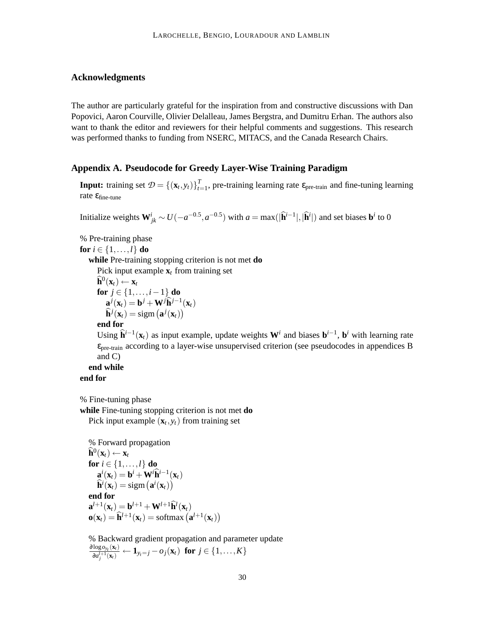## **Acknowledgments**

The author are particularly grateful for the inspiration from and constructive discussions with Dan Popovici, Aaron Courville, Olivier Delalleau, James Bergstra, and Dumitru Erhan. The authors also want to thank the editor and reviewers for their helpful comments and suggestions. This research was performed thanks to funding from NSERC, MITACS, and the Canada Research Chairs.

## **Appendix A. Pseudocode for Greedy Layer-Wise Training Paradigm**

**Input:** training set  $\mathcal{D} = \{(\mathbf{x}_t, y_t)\}_{t=1}^T$  $t_{t=1}$ , pre-training learning rate  $\varepsilon_{pre\text{-train}}$  and fine-tuning learning rate  $ε<sub>fine-tune</sub>$ 

Initialize weights  $\mathbf{W}_{jk}^i \sim U(-a^{-0.5}, a^{-0.5})$  with  $a = \max(|\hat{\mathbf{h}}^{i-1}|, |\hat{\mathbf{h}}^i|)$  and set biases  $\mathbf{b}^i$  to 0

% Pre-training phase **for**  $i \in \{1, \ldots, l\}$  **do while** Pre-training stopping criterion is not met **do** Pick input example  $\mathbf{x}_t$  from training set  $\widehat{\mathbf{h}}^{0}(\mathbf{x}_{t}) \leftarrow \mathbf{x}_{t}$ **for**  $j \in \{1, ..., i-1\}$  **do**  $\mathbf{a}^j(\mathbf{x}_t) = \mathbf{b}^j + \mathbf{W}^j \hat{\mathbf{h}}^{j-1}(\mathbf{x}_t)$  $\widehat{\mathbf{h}}^j(\mathbf{x}_t) = \text{sigm}(\mathbf{a}^j(\mathbf{x}_t))$ **end for** Using  $\hat{\mathbf{h}}^{i-1}(\mathbf{x}_t)$  as input example, update weights  $\mathbf{W}^i$  and biases  $\mathbf{b}^{i-1}$ ,  $\mathbf{b}^i$  with learning rate  $\varepsilon_{pre-train}$  according to a layer-wise unsupervised criterion (see pseudocodes in appendices B and C) **end while**

#### **end for**

% Fine-tuning phase

**while** Fine-tuning stopping criterion is not met **do** Pick input example  $(\mathbf{x}_t, y_t)$  from training set

% Forward propagation  $\widehat{\mathbf{h}}^{0}(\mathbf{x}_{t}) \leftarrow \mathbf{x}_{t}$ **for**  $i \in \{1, \ldots, l\}$  **do**  $\mathbf{a}^i(\mathbf{x}_t) = \mathbf{b}^i + \mathbf{W}^i \widehat{\mathbf{h}}^{i-1}(\mathbf{x}_t)$  $\widehat{\mathbf{h}}^{i}(\mathbf{x}_{t}) = \text{sigm}(\mathbf{a}^{i}(\mathbf{x}_{t}))$ **end for**  $\mathbf{a}^{l+1}(\mathbf{x}_t) = \mathbf{b}^{l+1} + \mathbf{W}^{l+1} \mathbf{\hat{h}}^l(\mathbf{x}_t)$  $\mathbf{o}(\mathbf{x}_t) = \hat{\mathbf{h}}^{l+1}(\mathbf{x}_t) = \text{softmax}(\mathbf{a}^{l+1}(\mathbf{x}_t))$ 

% Backward gradient propagation and parameter update ∂log*oyt* (**x***t*)  $\frac{\log o_{y_t}(\mathbf{x}_t)}{\log_1^{j+1}(\mathbf{x}_t)} \leftarrow \mathbf{1}_{y_t=j} - o_j(\mathbf{x}_t) \text{ for } j \in \{1,\ldots,K\}$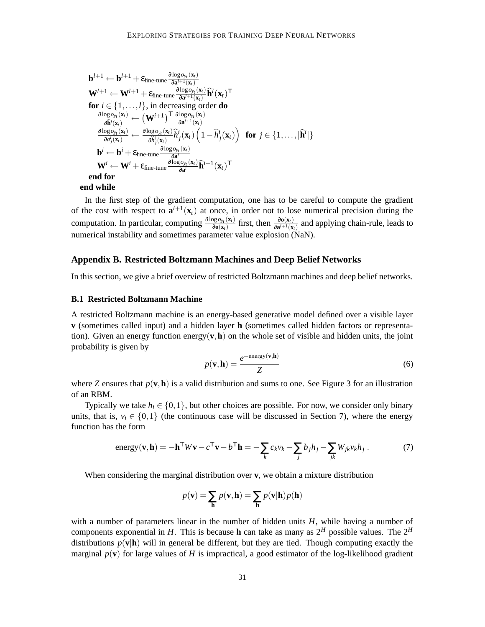$$
\mathbf{b}^{l+1} \leftarrow \mathbf{b}^{l+1} + \varepsilon_{\text{fine-tune}} \frac{\partial \log o_{y_l}(\mathbf{x}_l)}{\partial \mathbf{a}^{l+1}(\mathbf{x}_l)} \n\mathbf{W}^{l+1} \leftarrow \mathbf{W}^{l+1} + \varepsilon_{\text{fine-tune}} \frac{\partial \log o_{y_l}(\mathbf{x}_l)}{\partial \mathbf{a}^{l+1}(\mathbf{x}_l)} \mathbf{\hat{h}}^l(\mathbf{x}_l)^\mathsf{T} \n\text{for } i \in \{1, ..., l\}, \text{ in decreasing order do} \n\frac{\partial \log o_{y_l}(\mathbf{x}_l)}{\partial \mathbf{\hat{h}}^i(\mathbf{x}_l)} \leftarrow (\mathbf{W}^{l+1})^\mathsf{T} \frac{\partial \log o_{y_l}(\mathbf{x}_l)}{\partial \mathbf{a}^{l+1}(\mathbf{x}_l)} \n\frac{\partial \log o_{y_l}(\mathbf{x}_l)}{\partial \mathbf{a}^l_{j}(\mathbf{x}_l)} \leftarrow \frac{\partial \log o_{y_l}(\mathbf{x}_l)}{\partial \mathbf{\hat{h}}^i_{j}(\mathbf{x}_l)} \mathbf{\hat{h}}^i_j(\mathbf{x}_l) \left(1 - \mathbf{\hat{h}}^i_j(\mathbf{x}_l)\right) \text{ for } j \in \{1, ..., |\mathbf{\hat{h}}^l|\} \n\mathbf{b}^i \leftarrow \mathbf{b}^i + \varepsilon_{\text{fine-tune}} \frac{\partial \log o_{y_l}(\mathbf{x}_l)}{\partial \mathbf{a}^i} \n\mathbf{W}^i \leftarrow \mathbf{W}^i + \varepsilon_{\text{fine-tune}} \frac{\partial \log o_{y_l}(\mathbf{x}_l)}{\partial \mathbf{a}^i} \mathbf{\hat{h}}^{l-1}(\mathbf{x}_l)^\mathsf{T} \n\text{end for} \n\text{end while}
$$

In the first step of the gradient computation, one has to be careful to compute the gradient of the cost with respect to  $\mathbf{a}^{l+1}(\mathbf{x}_t)$  at once, in order not to lose numerical precision during the computation. In particular, computing  $\frac{\partial \log o_{y_t}(\mathbf{x}_t)}{\partial \mathbf{o}(\mathbf{x}_t)}$  $\frac{\partial g \circ_{y_t}(\mathbf{x}_t)}{\partial \mathbf{o}(\mathbf{x}_t)}$  first, then  $\frac{\partial \mathbf{o}(\mathbf{x}_t)}{\partial \mathbf{a}^{t+1}(\mathbf{x}_t)}$  and applying chain-rule, leads to numerical instability and sometimes parameter value explosion (NaN).

### **Appendix B. Restricted Boltzmann Machines and Deep Belief Networks**

In this section, we give a brief overview of restricted Boltzmann machines and deep belief networks.

#### **B.1 Restricted Boltzmann Machine**

A restricted Boltzmann machine is an energy-based generative model defined over a visible layer **v** (sometimes called input) and a hidden layer **h** (sometimes called hidden factors or representation). Given an energy function energy  $(v, h)$  on the whole set of visible and hidden units, the joint probability is given by

$$
p(\mathbf{v}, \mathbf{h}) = \frac{e^{-\text{energy}(\mathbf{v}, \mathbf{h})}}{Z}
$$
 (6)

where *Z* ensures that  $p(\mathbf{v}, \mathbf{h})$  is a valid distribution and sums to one. See Figure 3 for an illustration of an RBM.

Typically we take  $h_i \in \{0,1\}$ , but other choices are possible. For now, we consider only binary units, that is,  $v_i \in \{0,1\}$  (the continuous case will be discussed in Section 7), where the energy function has the form

energy(
$$
\mathbf{v}, \mathbf{h}
$$
) =  $-\mathbf{h}^{\mathsf{T}} W \mathbf{v} - c^{\mathsf{T}} \mathbf{v} - b^{\mathsf{T}} \mathbf{h} = -\sum_{k} c_{k} v_{k} - \sum_{j} b_{j} h_{j} - \sum_{jk} W_{jk} v_{k} h_{j}$ . (7)

When considering the marginal distribution over **v**, we obtain a mixture distribution

$$
p(\mathbf{v}) = \sum_{\mathbf{h}} p(\mathbf{v}, \mathbf{h}) = \sum_{\mathbf{h}} p(\mathbf{v}|\mathbf{h}) p(\mathbf{h})
$$

with a number of parameters linear in the number of hidden units *H*, while having a number of components exponential in *H*. This is because **h** can take as many as  $2^H$  possible values. The  $2^H$ distributions  $p(\mathbf{v}|\mathbf{h})$  will in general be different, but they are tied. Though computing exactly the marginal  $p(\mathbf{v})$  for large values of *H* is impractical, a good estimator of the log-likelihood gradient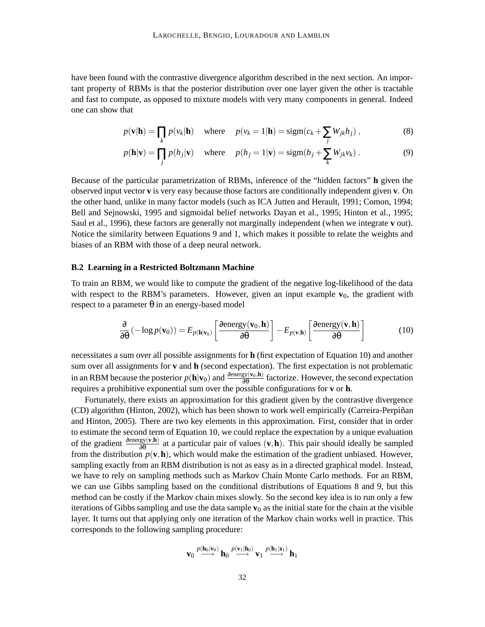have been found with the contrastive divergence algorithm described in the next section. An important property of RBMs is that the posterior distribution over one layer given the other is tractable and fast to compute, as opposed to mixture models with very many components in general. Indeed one can show that

$$
p(\mathbf{v}|\mathbf{h}) = \prod_{k} p(v_k|\mathbf{h}) \quad \text{where} \quad p(v_k = 1|\mathbf{h}) = \text{sigm}(c_k + \sum_{j} W_{jk} h_j) , \tag{8}
$$

$$
p(\mathbf{h}|\mathbf{v}) = \prod_j p(h_j|\mathbf{v}) \quad \text{where} \quad p(h_j = 1|\mathbf{v}) = \text{sigm}(b_j + \sum_k W_{jk} v_k) \,. \tag{9}
$$

Because of the particular parametrization of RBMs, inference of the "hidden factors" **h** given the observed input vector **v** is very easy because those factors are conditionally independent given **v**. On the other hand, unlike in many factor models (such as ICA Jutten and Herault, 1991; Comon, 1994; Bell and Sejnowski, 1995 and sigmoidal belief networks Dayan et al., 1995; Hinton et al., 1995; Saul et al., 1996), these factors are generally not marginally independent (when we integrate **v** out). Notice the similarity between Equations 9 and 1, which makes it possible to relate the weights and biases of an RBM with those of a deep neural network.

#### **B.2 Learning in a Restricted Boltzmann Machine**

To train an RBM, we would like to compute the gradient of the negative log-likelihood of the data with respect to the RBM's parameters. However, given an input example  $\mathbf{v}_0$ , the gradient with respect to a parameter  $θ$  in an energy-based model

$$
\frac{\partial}{\partial \theta} \left( -\log p(\mathbf{v}_0) \right) = E_{p(\mathbf{h}|\mathbf{v}_0)} \left[ \frac{\partial \text{energy}(\mathbf{v}_0, \mathbf{h})}{\partial \theta} \right] - E_{p(\mathbf{v}, \mathbf{h})} \left[ \frac{\partial \text{energy}(\mathbf{v}, \mathbf{h})}{\partial \theta} \right]
$$
(10)

necessitates a sum over all possible assignments for **h** (first expectation of Equation 10) and another sum over all assignments for **v** and **h** (second expectation). The first expectation is not problematic in an RBM because the posterior  $p(\mathbf{h}|\mathbf{v}_0)$  and  $\frac{\partial \text{energy}(\mathbf{v}_0,\mathbf{h})}{\partial \theta}$  factorize. However, the second expectation requires a prohibitive exponential sum over the possible configurations for **v** or **h**.

Fortunately, there exists an approximation for this gradient given by the contrastive divergence (CD) algorithm (Hinton, 2002), which has been shown to work well empirically (Carreira-Perpinan and Hinton, 2005). There are two key elements in this approximation. First, consider that in order to estimate the second term of Equation 10, we could replace the expectation by a unique evaluation of the gradient  $\frac{\partial \text{energy}(\mathbf{v}, \mathbf{h})}{\partial \theta}$  at a particular pair of values  $(\mathbf{v}, \mathbf{h})$ . This pair should ideally be sampled from the distribution  $p(\mathbf{v}, \mathbf{h})$ , which would make the estimation of the gradient unbiased. However, sampling exactly from an RBM distribution is not as easy as in a directed graphical model. Instead, we have to rely on sampling methods such as Markov Chain Monte Carlo methods. For an RBM, we can use Gibbs sampling based on the conditional distributions of Equations 8 and 9, but this method can be costly if the Markov chain mixes slowly. So the second key idea is to run only a few iterations of Gibbs sampling and use the data sample  $\mathbf{v}_0$  as the initial state for the chain at the visible layer. It turns out that applying only one iteration of the Markov chain works well in practice. This corresponds to the following sampling procedure:

$$
\mathbf{v}_0 \stackrel{p(\mathbf{h}_0|\mathbf{v}_0)}{\longrightarrow} \mathbf{h}_0 \stackrel{p(\mathbf{v}_1|\mathbf{h}_0)}{\longrightarrow} \mathbf{v}_1 \stackrel{p(\mathbf{h}_1|\mathbf{x}_1)}{\longrightarrow} \mathbf{h}_1
$$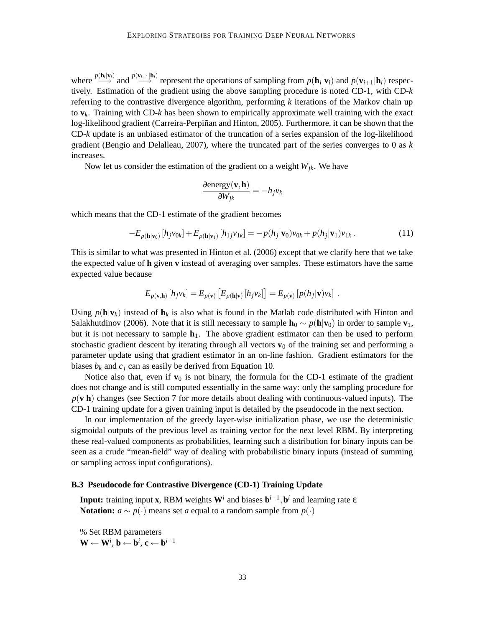where  $\frac{p(\mathbf{h}_i|\mathbf{v}_i)}{p}$  and  $\frac{p(\mathbf{v}_{i+1}|\mathbf{h}_i)}{p}$  represent the operations of sampling from  $p(\mathbf{h}_i|\mathbf{v}_i)$  and  $p(\mathbf{v}_{i+1}|\mathbf{h}_i)$  respectively. Estimation of the gradient using the above sampling procedure is noted CD-1, with CD-*k* referring to the contrastive divergence algorithm, performing *k* iterations of the Markov chain up to **v***k*. Training with CD-*k* has been shown to empirically approximate well training with the exact log-likelihood gradient (Carreira-Perpiñan and Hinton, 2005). Furthermore, it can be shown that the CD-*k* update is an unbiased estimator of the truncation of a series expansion of the log-likelihood gradient (Bengio and Delalleau, 2007), where the truncated part of the series converges to 0 as *k* increases.

Now let us consider the estimation of the gradient on a weight *Wjk*. We have

$$
\frac{\partial \text{energy}(\mathbf{v}, \mathbf{h})}{\partial W_{jk}} = -h_j v_k
$$

which means that the CD-1 estimate of the gradient becomes

$$
-E_{p(\mathbf{h}|\mathbf{v}_0)}[h_j v_{0k}] + E_{p(\mathbf{h}|\mathbf{v}_1)}[h_{1j} v_{1k}] = -p(h_j|\mathbf{v}_0)v_{0k} + p(h_j|\mathbf{v}_1)v_{1k}.
$$
 (11)

This is similar to what was presented in Hinton et al. (2006) except that we clarify here that we take the expected value of **h** given **v** instead of averaging over samples. These estimators have the same expected value because

$$
E_{p(\mathbf{v},\mathbf{h})}\left[h_jv_k\right] = E_{p(\mathbf{v})}\left[E_{p(\mathbf{h}|\mathbf{v})}\left[h_jv_k\right]\right] = E_{p(\mathbf{v})}\left[p(h_j|\mathbf{v})v_k\right].
$$

Using  $p(\mathbf{h}|\mathbf{v}_k)$  instead of  $\mathbf{h}_k$  is also what is found in the Matlab code distributed with Hinton and Salakhutdinov (2006). Note that it is still necessary to sample  $\mathbf{h}_0 \sim p(\mathbf{h}|\mathbf{v}_0)$  in order to sample  $\mathbf{v}_1$ , but it is not necessary to sample  $\mathbf{h}_1$ . The above gradient estimator can then be used to perform stochastic gradient descent by iterating through all vectors  $\mathbf{v}_0$  of the training set and performing a parameter update using that gradient estimator in an on-line fashion. Gradient estimators for the biases  $b_k$  and  $c_j$  can as easily be derived from Equation 10.

Notice also that, even if  $\mathbf{v}_0$  is not binary, the formula for the CD-1 estimate of the gradient does not change and is still computed essentially in the same way: only the sampling procedure for  $p(\mathbf{v}|\mathbf{h})$  changes (see Section 7 for more details about dealing with continuous-valued inputs). The CD-1 training update for a given training input is detailed by the pseudocode in the next section.

In our implementation of the greedy layer-wise initialization phase, we use the deterministic sigmoidal outputs of the previous level as training vector for the next level RBM. By interpreting these real-valued components as probabilities, learning such a distribution for binary inputs can be seen as a crude "mean-field" way of dealing with probabilistic binary inputs (instead of summing or sampling across input configurations).

### **B.3 Pseudocode for Contrastive Divergence (CD-1) Training Update**

**Input:** training input **x**, RBM weights  $W<sup>i</sup>$  and biases  $b<sup>i-1</sup>, b<sup>i</sup>$  and learning rate  $\varepsilon$ **Notation:**  $a \sim p(·)$  means set *a* equal to a random sample from  $p(·)$ 

% Set RBM parameters  $\mathbf{W} \leftarrow \mathbf{W}^i$ ,  $\mathbf{b} \leftarrow \mathbf{b}^i$ ,  $\mathbf{c} \leftarrow \mathbf{b}^{i-1}$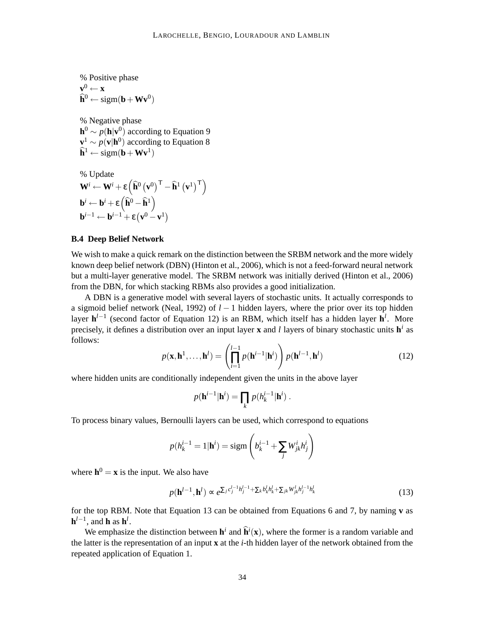% Positive phase  $\mathbf{v}^0 \leftarrow \mathbf{x}$  $\widehat{\mathbf{h}}^0 \leftarrow \text{sigm}(\mathbf{b} + \mathbf{W}\mathbf{v}^0)$ % Negative phase

 $h^0 \sim p(h|v^0)$  according to Equation 9  $\mathbf{v}^1 \sim p(\mathbf{v}|\mathbf{h}^0)$  according to Equation 8  $\widehat{\mathbf{h}}^1 \leftarrow \text{sigm}(\mathbf{b} + \mathbf{W}\mathbf{v}^1)$ 

% Update  
\n
$$
\mathbf{W}^{i} \leftarrow \mathbf{W}^{i} + \varepsilon \left( \hat{\mathbf{h}}^{0} \left( \mathbf{v}^{0} \right)^{\mathsf{T}} - \hat{\mathbf{h}}^{1} \left( \mathbf{v}^{1} \right)^{\mathsf{T}} \right)
$$
\n
$$
\mathbf{b}^{i} \leftarrow \mathbf{b}^{i} + \varepsilon \left( \hat{\mathbf{h}}^{0} - \hat{\mathbf{h}}^{1} \right)
$$
\n
$$
\mathbf{b}^{i-1} \leftarrow \mathbf{b}^{i-1} + \varepsilon \left( \mathbf{v}^{0} - \mathbf{v}^{1} \right)
$$

### **B.4 Deep Belief Network**

We wish to make a quick remark on the distinction between the SRBM network and the more widely known deep belief network (DBN) (Hinton et al., 2006), which is not a feed-forward neural network but a multi-layer generative model. The SRBM network was initially derived (Hinton et al., 2006) from the DBN, for which stacking RBMs also provides a good initialization.

A DBN is a generative model with several layers of stochastic units. It actually corresponds to a sigmoid belief network (Neal, 1992) of *l* − 1 hidden layers, where the prior over its top hidden layer **h**<sup>*l*−1</sup> (second factor of Equation 12) is an RBM, which itself has a hidden layer **h**<sup>*l*</sup>. More precisely, it defines a distribution over an input layer **x** and *l* layers of binary stochastic units **h** *i* as follows:

$$
p(\mathbf{x}, \mathbf{h}^1, \dots, \mathbf{h}^l) = \left(\prod_{i=1}^{l-1} p(\mathbf{h}^{i-1}|\mathbf{h}^i)\right) p(\mathbf{h}^{l-1}, \mathbf{h}^l)
$$
(12)

where hidden units are conditionally independent given the units in the above layer

$$
p(\mathbf{h}^{i-1}|\mathbf{h}^i) = \prod_k p(h_k^{i-1}|\mathbf{h}^i).
$$

To process binary values, Bernoulli layers can be used, which correspond to equations

$$
p(h_k^{i-1} = 1 | \mathbf{h}^i) = \text{sigm}\left(b_k^{i-1} + \sum_j W_{jk}^i h_j^i\right)
$$

where  $h^0 = x$  is the input. We also have

$$
p(\mathbf{h}^{l-1}, \mathbf{h}^l) \propto e^{\sum_j c_j^{l-1} h_j^{l-1} + \sum_k b_k^l h_k^l + \sum_{jk} W_{jk}^l h_j^{l-1} h_k^l}
$$
 (13)

for the top RBM. Note that Equation 13 can be obtained from Equations 6 and 7, by naming **v** as  $\mathbf{h}^{l-1}$ , and  $\mathbf{h}$  as  $\mathbf{h}^{l}$ .

We emphasize the distinction between  $\mathbf{h}^i$  and  $\hat{\mathbf{h}}^i(\mathbf{x})$ , where the former is a random variable and the latter is the representation of an input **x** at the *i*-th hidden layer of the network obtained from the repeated application of Equation 1.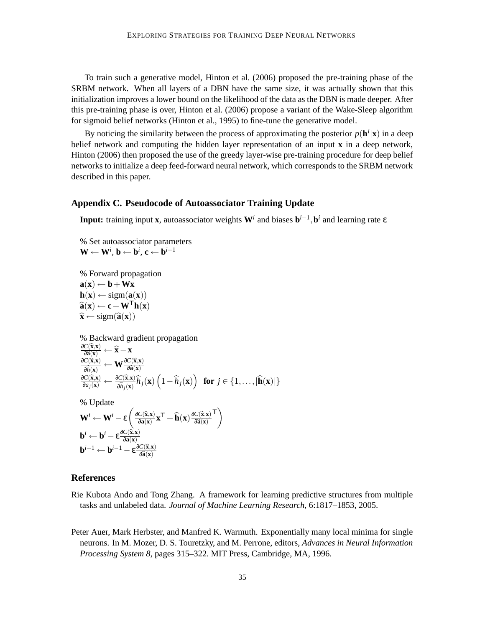To train such a generative model, Hinton et al. (2006) proposed the pre-training phase of the SRBM network. When all layers of a DBN have the same size, it was actually shown that this initialization improves a lower bound on the likelihood of the data as the DBN is made deeper. After this pre-training phase is over, Hinton et al. (2006) propose a variant of the Wake-Sleep algorithm for sigmoid belief networks (Hinton et al., 1995) to fine-tune the generative model.

By noticing the similarity between the process of approximating the posterior  $p(\mathbf{h}^i|\mathbf{x})$  in a deep belief network and computing the hidden layer representation of an input **x** in a deep network, Hinton (2006) then proposed the use of the greedy layer-wise pre-training procedure for deep belief networks to initialize a deep feed-forward neural network, which corresponds to the SRBM network described in this paper.

### **Appendix C. Pseudocode of Autoassociator Training Update**

**Input:** training input **x**, autoassociator weights **W***<sup>i</sup>* and biases **b** *i*−1 ,**b** *i* and learning rate ε

% Set autoassociator parameters  $\mathbf{W} \leftarrow \mathbf{W}^i$ ,  $\mathbf{b} \leftarrow \mathbf{b}^i$ ,  $\mathbf{c} \leftarrow \mathbf{b}^{i-1}$ 

% Forward propagation  $\mathbf{a}(\mathbf{x}) \leftarrow \mathbf{b} + \mathbf{W}\mathbf{x}$  $h(x) \leftarrow$  sigm( $a(x)$ )  $\widehat{\mathbf{a}}(\mathbf{x}) \leftarrow \mathbf{c} + \mathbf{W}^{\mathsf{T}} \mathbf{h}(\mathbf{x})$  $\hat{\mathbf{x}} \leftarrow \text{sigm}(\hat{\mathbf{a}}(\mathbf{x}))$ 

% Backward gradient propagation  $\frac{\partial C(\widehat{\mathbf{x}}, \mathbf{x})}{\partial \widehat{\mathbf{a}}(\mathbf{x})} \leftarrow \widehat{\mathbf{x}} - \mathbf{x}$ <sup>∂</sup>*C*(b**x**,**x**)  $\frac{C(\widehat{\mathbf{x}}, \mathbf{x})}{\partial \widehat{h}(\mathbf{x})} \leftarrow \mathbf{W} \frac{\partial C(\widehat{\mathbf{x}}, \mathbf{x})}{\partial \widehat{\mathbf{a}}(\mathbf{x})}$  $\frac{\partial C(\hat{\mathbf{x}}, \mathbf{x})}{\partial a_j(\mathbf{x})} \leftarrow \frac{\partial C(\hat{\mathbf{x}}, \mathbf{x})}{\partial \hat{h}_j(\mathbf{x})} \hat{h}_j(\mathbf{x}) \left(1 - \hat{h}_j(\mathbf{x})\right) \text{ for } j \in \{1, \ldots, |\hat{\mathbf{h}}(\mathbf{x})|\}$ % Update  $\mathbf{W}^i \leftarrow \mathbf{W}^i - \varepsilon \left( \frac{\partial C(\widehat{\mathbf{x}}, \mathbf{x})}{\partial \mathbf{a}(\mathbf{x})} \mathbf{x}^\mathsf{T} + \widehat{\mathbf{h}}(\mathbf{x}) \frac{\partial C(\widehat{\mathbf{x}}, \mathbf{x})}{\partial \widehat{\mathbf{a}}(\mathbf{x})} \right)$ <sup>∂</sup>b**a**(**x**)  $\Gamma$ 

$$
\mathbf{b}^{i} \leftarrow \mathbf{b}^{i} - \varepsilon \frac{\partial C(\hat{\mathbf{x}}, \mathbf{x})}{\partial \mathbf{a}(\mathbf{x})}
$$

$$
\mathbf{b}^{i-1} \leftarrow \mathbf{b}^{i-1} - \varepsilon \frac{\partial C(\hat{\mathbf{x}}, \mathbf{x})}{\partial \hat{\mathbf{a}}(\mathbf{x})}
$$

### **References**

- Rie Kubota Ando and Tong Zhang. A framework for learning predictive structures from multiple tasks and unlabeled data. *Journal of Machine Learning Research*, 6:1817–1853, 2005.
- Peter Auer, Mark Herbster, and Manfred K. Warmuth. Exponentially many local minima for single neurons. In M. Mozer, D. S. Touretzky, and M. Perrone, editors, *Advances in Neural Information Processing System 8*, pages 315–322. MIT Press, Cambridge, MA, 1996.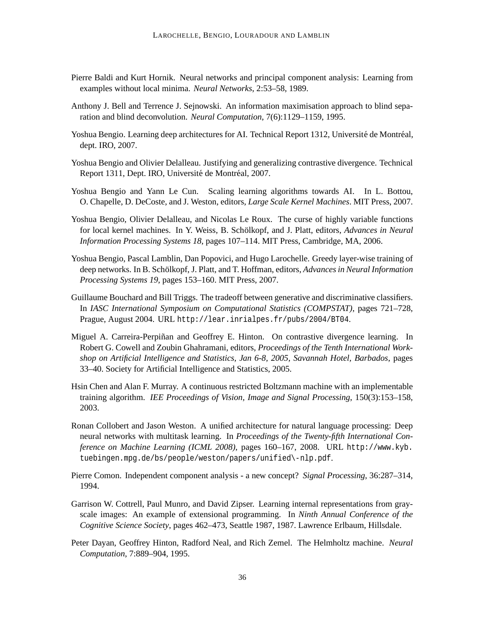- Pierre Baldi and Kurt Hornik. Neural networks and principal component analysis: Learning from examples without local minima. *Neural Networks*, 2:53–58, 1989.
- Anthony J. Bell and Terrence J. Sejnowski. An information maximisation approach to blind separation and blind deconvolution. *Neural Computation*, 7(6):1129–1159, 1995.
- Yoshua Bengio. Learning deep architectures for AI. Technical Report 1312, Université de Montréal, dept. IRO, 2007.
- Yoshua Bengio and Olivier Delalleau. Justifying and generalizing contrastive divergence. Technical Report 1311, Dept. IRO, Université de Montréal, 2007.
- Yoshua Bengio and Yann Le Cun. Scaling learning algorithms towards AI. In L. Bottou, O. Chapelle, D. DeCoste, and J. Weston, editors, *Large Scale Kernel Machines*. MIT Press, 2007.
- Yoshua Bengio, Olivier Delalleau, and Nicolas Le Roux. The curse of highly variable functions for local kernel machines. In Y. Weiss, B. Schölkopf, and J. Platt, editors, *Advances in Neural Information Processing Systems 18*, pages 107–114. MIT Press, Cambridge, MA, 2006.
- Yoshua Bengio, Pascal Lamblin, Dan Popovici, and Hugo Larochelle. Greedy layer-wise training of deep networks. In B. Schölkopf, J. Platt, and T. Hoffman, editors, *Advances in Neural Information Processing Systems 19*, pages 153–160. MIT Press, 2007.
- Guillaume Bouchard and Bill Triggs. The tradeoff between generative and discriminative classifiers. In *IASC International Symposium on Computational Statistics (COMPSTAT)*, pages 721–728, Prague, August 2004. URL http://lear.inrialpes.fr/pubs/2004/BT04.
- Miguel A. Carreira-Perpiñan and Geoffrey E. Hinton. On contrastive divergence learning. In Robert G. Cowell and Zoubin Ghahramani, editors, *Proceedings of the Tenth International Workshop on Artificial Intelligence and Statistics, Jan 6-8, 2005, Savannah Hotel, Barbados*, pages 33–40. Society for Artificial Intelligence and Statistics, 2005.
- Hsin Chen and Alan F. Murray. A continuous restricted Boltzmann machine with an implementable training algorithm. *IEE Proceedings of Vision, Image and Signal Processing*, 150(3):153–158, 2003.
- Ronan Collobert and Jason Weston. A unified architecture for natural language processing: Deep neural networks with multitask learning. In *Proceedings of the Twenty-fifth International Conference on Machine Learning (ICML 2008)*, pages 160–167, 2008. URL http://www.kyb. tuebingen.mpg.de/bs/people/weston/papers/unified\-nlp.pdf.
- Pierre Comon. Independent component analysis a new concept? *Signal Processing*, 36:287–314, 1994.
- Garrison W. Cottrell, Paul Munro, and David Zipser. Learning internal representations from grayscale images: An example of extensional programming. In *Ninth Annual Conference of the Cognitive Science Society*, pages 462–473, Seattle 1987, 1987. Lawrence Erlbaum, Hillsdale.
- Peter Dayan, Geoffrey Hinton, Radford Neal, and Rich Zemel. The Helmholtz machine. *Neural Computation*, 7:889–904, 1995.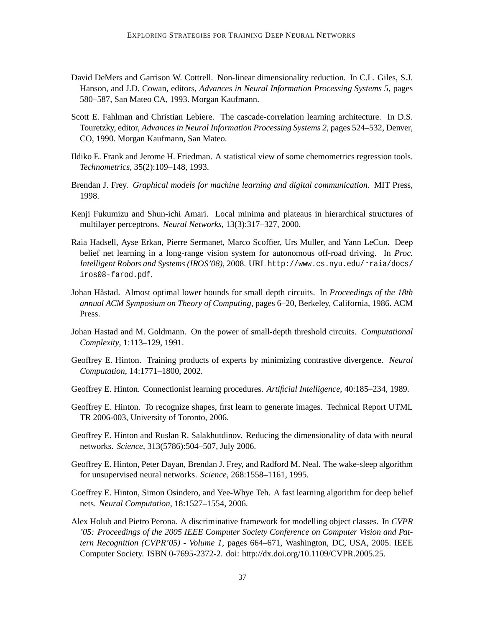- David DeMers and Garrison W. Cottrell. Non-linear dimensionality reduction. In C.L. Giles, S.J. Hanson, and J.D. Cowan, editors, *Advances in Neural Information Processing Systems 5*, pages 580–587, San Mateo CA, 1993. Morgan Kaufmann.
- Scott E. Fahlman and Christian Lebiere. The cascade-correlation learning architecture. In D.S. Touretzky, editor, *Advances in Neural Information Processing Systems 2*, pages 524–532, Denver, CO, 1990. Morgan Kaufmann, San Mateo.
- Ildiko E. Frank and Jerome H. Friedman. A statistical view of some chemometrics regression tools. *Technometrics*, 35(2):109–148, 1993.
- Brendan J. Frey. *Graphical models for machine learning and digital communication*. MIT Press, 1998.
- Kenji Fukumizu and Shun-ichi Amari. Local minima and plateaus in hierarchical structures of multilayer perceptrons. *Neural Networks*, 13(3):317–327, 2000.
- Raia Hadsell, Ayse Erkan, Pierre Sermanet, Marco Scoffier, Urs Muller, and Yann LeCun. Deep belief net learning in a long-range vision system for autonomous off-road driving. In *Proc. Intelligent Robots and Systems (IROS'08)*, 2008. URL http://www.cs.nyu.edu/˜raia/docs/ iros08-farod.pdf.
- Johan Hastad. ˚ Almost optimal lower bounds for small depth circuits. In *Proceedings of the 18th annual ACM Symposium on Theory of Computing*, pages 6–20, Berkeley, California, 1986. ACM Press.
- Johan Hastad and M. Goldmann. On the power of small-depth threshold circuits. *Computational Complexity*, 1:113–129, 1991.
- Geoffrey E. Hinton. Training products of experts by minimizing contrastive divergence. *Neural Computation*, 14:1771–1800, 2002.
- Geoffrey E. Hinton. Connectionist learning procedures. *Artificial Intelligence*, 40:185–234, 1989.
- Geoffrey E. Hinton. To recognize shapes, first learn to generate images. Technical Report UTML TR 2006-003, University of Toronto, 2006.
- Geoffrey E. Hinton and Ruslan R. Salakhutdinov. Reducing the dimensionality of data with neural networks. *Science*, 313(5786):504–507, July 2006.
- Geoffrey E. Hinton, Peter Dayan, Brendan J. Frey, and Radford M. Neal. The wake-sleep algorithm for unsupervised neural networks. *Science*, 268:1558–1161, 1995.
- Goeffrey E. Hinton, Simon Osindero, and Yee-Whye Teh. A fast learning algorithm for deep belief nets. *Neural Computation*, 18:1527–1554, 2006.
- Alex Holub and Pietro Perona. A discriminative framework for modelling object classes. In *CVPR '05: Proceedings of the 2005 IEEE Computer Society Conference on Computer Vision and Pattern Recognition (CVPR'05) - Volume 1*, pages 664–671, Washington, DC, USA, 2005. IEEE Computer Society. ISBN 0-7695-2372-2. doi: http://dx.doi.org/10.1109/CVPR.2005.25.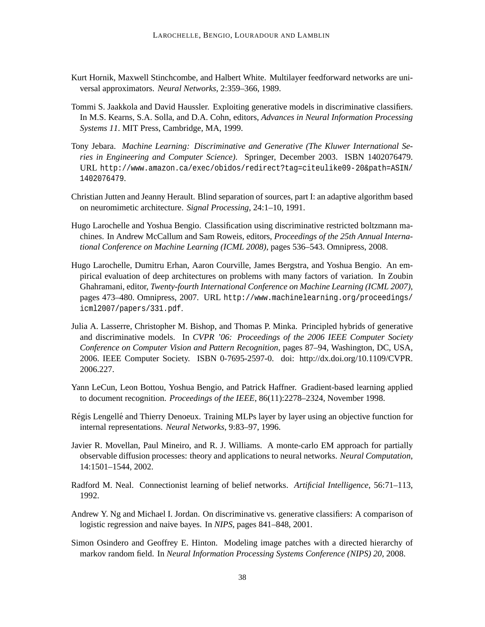- Kurt Hornik, Maxwell Stinchcombe, and Halbert White. Multilayer feedforward networks are universal approximators. *Neural Networks*, 2:359–366, 1989.
- Tommi S. Jaakkola and David Haussler. Exploiting generative models in discriminative classifiers. In M.S. Kearns, S.A. Solla, and D.A. Cohn, editors, *Advances in Neural Information Processing Systems 11*. MIT Press, Cambridge, MA, 1999.
- Tony Jebara. *Machine Learning: Discriminative and Generative (The Kluwer International Series in Engineering and Computer Science)*. Springer, December 2003. ISBN 1402076479. URL http://www.amazon.ca/exec/obidos/redirect?tag=citeulike09-20&path=ASIN/ 1402076479.
- Christian Jutten and Jeanny Herault. Blind separation of sources, part I: an adaptive algorithm based on neuromimetic architecture. *Signal Processing*, 24:1–10, 1991.
- Hugo Larochelle and Yoshua Bengio. Classification using discriminative restricted boltzmann machines. In Andrew McCallum and Sam Roweis, editors, *Proceedings of the 25th Annual International Conference on Machine Learning (ICML 2008)*, pages 536–543. Omnipress, 2008.
- Hugo Larochelle, Dumitru Erhan, Aaron Courville, James Bergstra, and Yoshua Bengio. An empirical evaluation of deep architectures on problems with many factors of variation. In Zoubin Ghahramani, editor, *Twenty-fourth International Conference on Machine Learning (ICML 2007)*, pages 473–480. Omnipress, 2007. URL http://www.machinelearning.org/proceedings/ icml2007/papers/331.pdf.
- Julia A. Lasserre, Christopher M. Bishop, and Thomas P. Minka. Principled hybrids of generative and discriminative models. In *CVPR '06: Proceedings of the 2006 IEEE Computer Society Conference on Computer Vision and Pattern Recognition*, pages 87–94, Washington, DC, USA, 2006. IEEE Computer Society. ISBN 0-7695-2597-0. doi: http://dx.doi.org/10.1109/CVPR. 2006.227.
- Yann LeCun, Leon Bottou, Yoshua Bengio, and Patrick Haffner. Gradient-based learning applied to document recognition. *Proceedings of the IEEE*, 86(11):2278–2324, November 1998.
- Régis Lengellé and Thierry Denoeux. Training MLPs layer by layer using an objective function for internal representations. *Neural Networks*, 9:83–97, 1996.
- Javier R. Movellan, Paul Mineiro, and R. J. Williams. A monte-carlo EM approach for partially observable diffusion processes: theory and applications to neural networks. *Neural Computation*, 14:1501–1544, 2002.
- Radford M. Neal. Connectionist learning of belief networks. *Artificial Intelligence*, 56:71–113, 1992.
- Andrew Y. Ng and Michael I. Jordan. On discriminative vs. generative classifiers: A comparison of logistic regression and naive bayes. In *NIPS*, pages 841–848, 2001.
- Simon Osindero and Geoffrey E. Hinton. Modeling image patches with a directed hierarchy of markov random field. In *Neural Information Processing Systems Conference (NIPS) 20*, 2008.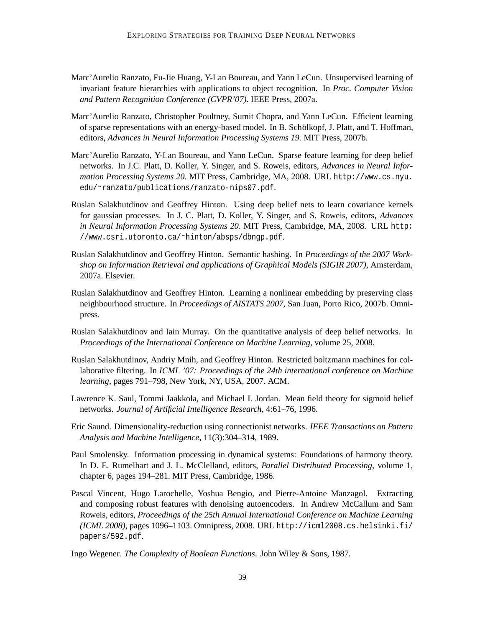- Marc'Aurelio Ranzato, Fu-Jie Huang, Y-Lan Boureau, and Yann LeCun. Unsupervised learning of invariant feature hierarchies with applications to object recognition. In *Proc. Computer Vision and Pattern Recognition Conference (CVPR'07)*. IEEE Press, 2007a.
- Marc'Aurelio Ranzato, Christopher Poultney, Sumit Chopra, and Yann LeCun. Efficient learning of sparse representations with an energy-based model. In B. Schölkopf, J. Platt, and T. Hoffman, editors, *Advances in Neural Information Processing Systems 19*. MIT Press, 2007b.
- Marc'Aurelio Ranzato, Y-Lan Boureau, and Yann LeCun. Sparse feature learning for deep belief networks. In J.C. Platt, D. Koller, Y. Singer, and S. Roweis, editors, *Advances in Neural Information Processing Systems 20*. MIT Press, Cambridge, MA, 2008. URL http://www.cs.nyu. edu/˜ranzato/publications/ranzato-nips07.pdf.
- Ruslan Salakhutdinov and Geoffrey Hinton. Using deep belief nets to learn covariance kernels for gaussian processes. In J. C. Platt, D. Koller, Y. Singer, and S. Roweis, editors, *Advances in Neural Information Processing Systems 20*. MIT Press, Cambridge, MA, 2008. URL http: //www.csri.utoronto.ca/˜hinton/absps/dbngp.pdf.
- Ruslan Salakhutdinov and Geoffrey Hinton. Semantic hashing. In *Proceedings of the 2007 Workshop on Information Retrieval and applications of Graphical Models (SIGIR 2007)*, Amsterdam, 2007a. Elsevier.
- Ruslan Salakhutdinov and Geoffrey Hinton. Learning a nonlinear embedding by preserving class neighbourhood structure. In *Proceedings of AISTATS 2007*, San Juan, Porto Rico, 2007b. Omnipress.
- Ruslan Salakhutdinov and Iain Murray. On the quantitative analysis of deep belief networks. In *Proceedings of the International Conference on Machine Learning*, volume 25, 2008.
- Ruslan Salakhutdinov, Andriy Mnih, and Geoffrey Hinton. Restricted boltzmann machines for collaborative filtering. In *ICML '07: Proceedings of the 24th international conference on Machine learning*, pages 791–798, New York, NY, USA, 2007. ACM.
- Lawrence K. Saul, Tommi Jaakkola, and Michael I. Jordan. Mean field theory for sigmoid belief networks. *Journal of Artificial Intelligence Research*, 4:61–76, 1996.
- Eric Saund. Dimensionality-reduction using connectionist networks. *IEEE Transactions on Pattern Analysis and Machine Intelligence*, 11(3):304–314, 1989.
- Paul Smolensky. Information processing in dynamical systems: Foundations of harmony theory. In D. E. Rumelhart and J. L. McClelland, editors, *Parallel Distributed Processing*, volume 1, chapter 6, pages 194–281. MIT Press, Cambridge, 1986.
- Pascal Vincent, Hugo Larochelle, Yoshua Bengio, and Pierre-Antoine Manzagol. Extracting and composing robust features with denoising autoencoders. In Andrew McCallum and Sam Roweis, editors, *Proceedings of the 25th Annual International Conference on Machine Learning (ICML 2008)*, pages 1096–1103. Omnipress, 2008. URL http://icml2008.cs.helsinki.fi/ papers/592.pdf.
- Ingo Wegener. *The Complexity of Boolean Functions*. John Wiley & Sons, 1987.